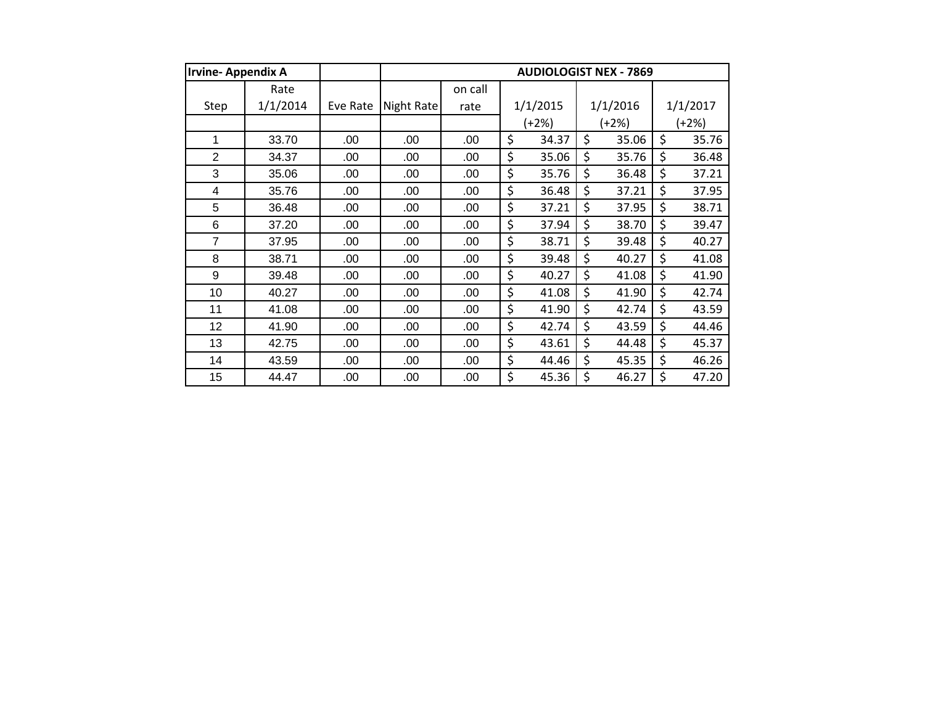| <b>Irvine-Appendix A</b> |          |          |            |         | <b>AUDIOLOGIST NEX - 7869</b> |             |             |
|--------------------------|----------|----------|------------|---------|-------------------------------|-------------|-------------|
|                          | Rate     |          |            | on call |                               |             |             |
| Step                     | 1/1/2014 | Eve Rate | Night Rate | rate    | 1/1/2015                      | 1/1/2016    | 1/1/2017    |
|                          |          |          |            |         | $(+2%)$                       | $(+2%)$     | $(+2%)$     |
| 1                        | 33.70    | .00      | .00        | .00     | \$<br>34.37                   | \$<br>35.06 | \$<br>35.76 |
| 2                        | 34.37    | .00      | .00        | .00     | \$<br>35.06                   | \$<br>35.76 | \$<br>36.48 |
| 3                        | 35.06    | .00      | .00        | .00     | \$<br>35.76                   | \$<br>36.48 | \$<br>37.21 |
| 4                        | 35.76    | .00      | .00        | .00     | \$<br>36.48                   | \$<br>37.21 | \$<br>37.95 |
| 5                        | 36.48    | .00      | .00        | .00     | \$<br>37.21                   | \$<br>37.95 | \$<br>38.71 |
| 6                        | 37.20    | .00      | .00        | .00     | \$<br>37.94                   | \$<br>38.70 | \$<br>39.47 |
| $\overline{7}$           | 37.95    | .00      | .00        | .00     | \$<br>38.71                   | \$<br>39.48 | \$<br>40.27 |
| 8                        | 38.71    | .00      | .00        | .00     | \$<br>39.48                   | \$<br>40.27 | \$<br>41.08 |
| 9                        | 39.48    | .00      | .00        | .00     | \$<br>40.27                   | \$<br>41.08 | \$<br>41.90 |
| 10                       | 40.27    | .00      | .00        | .00     | \$<br>41.08                   | \$<br>41.90 | \$<br>42.74 |
| 11                       | 41.08    | .00      | .00        | .00     | \$<br>41.90                   | \$<br>42.74 | \$<br>43.59 |
| 12                       | 41.90    | .00      | .00        | .00     | \$<br>42.74                   | \$<br>43.59 | \$<br>44.46 |
| 13                       | 42.75    | .00      | .00        | .00     | \$<br>43.61                   | \$<br>44.48 | \$<br>45.37 |
| 14                       | 43.59    | .00      | .00        | .00     | \$<br>44.46                   | \$<br>45.35 | \$<br>46.26 |
| 15                       | 44.47    | .00      | .00        | .00     | \$<br>45.36                   | \$<br>46.27 | \$<br>47.20 |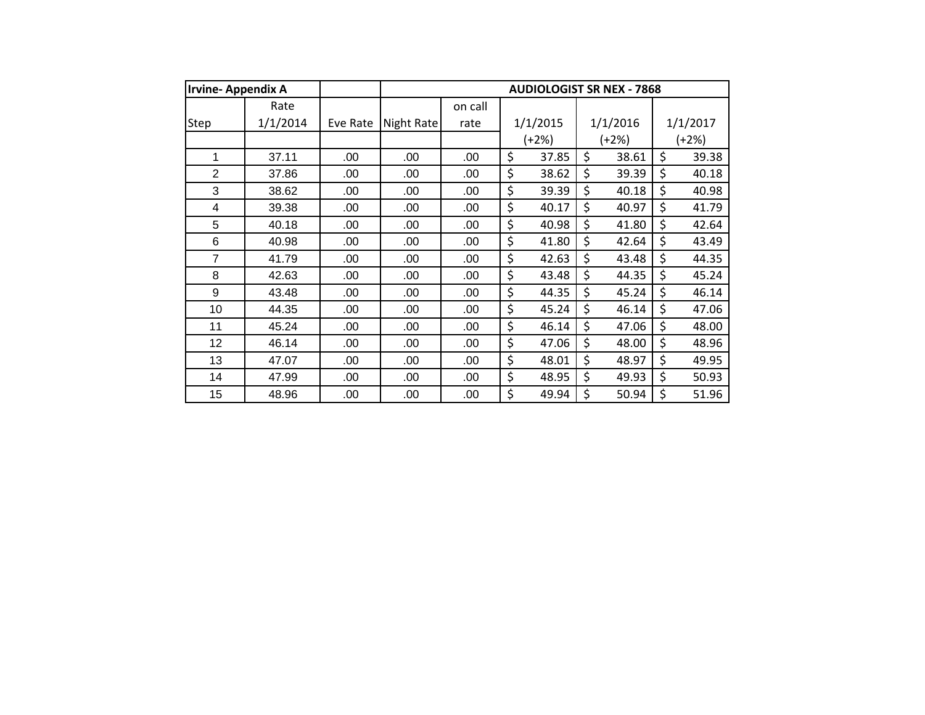| <b>Irvine-Appendix A</b> |          |          |            |         | <b>AUDIOLOGIST SR NEX - 7868</b> |             |             |
|--------------------------|----------|----------|------------|---------|----------------------------------|-------------|-------------|
|                          | Rate     |          |            | on call |                                  |             |             |
| Step                     | 1/1/2014 | Eve Rate | Night Rate | rate    | 1/1/2015                         | 1/1/2016    | 1/1/2017    |
|                          |          |          |            |         | $(+2%)$                          | (+2%)       | (+2%)       |
| 1                        | 37.11    | .00      | .00        | .00     | \$<br>37.85                      | \$<br>38.61 | \$<br>39.38 |
| $\overline{2}$           | 37.86    | .00      | .00        | .00     | \$<br>38.62                      | \$<br>39.39 | \$<br>40.18 |
| 3                        | 38.62    | .00      | .00        | .00     | \$<br>39.39                      | \$<br>40.18 | \$<br>40.98 |
| 4                        | 39.38    | .00      | .00        | .00     | \$<br>40.17                      | \$<br>40.97 | \$<br>41.79 |
| 5                        | 40.18    | .00      | .00        | .00     | \$<br>40.98                      | \$<br>41.80 | \$<br>42.64 |
| 6                        | 40.98    | .00      | .00        | .00     | \$<br>41.80                      | \$<br>42.64 | \$<br>43.49 |
| $\overline{7}$           | 41.79    | .00      | .00        | .00     | \$<br>42.63                      | \$<br>43.48 | \$<br>44.35 |
| 8                        | 42.63    | .00      | .00        | .00     | \$<br>43.48                      | \$<br>44.35 | \$<br>45.24 |
| 9                        | 43.48    | .00      | .00        | .00     | \$<br>44.35                      | \$<br>45.24 | \$<br>46.14 |
| 10                       | 44.35    | .00      | .00        | .00     | \$<br>45.24                      | \$<br>46.14 | \$<br>47.06 |
| 11                       | 45.24    | .00      | .00        | .00     | \$<br>46.14                      | \$<br>47.06 | \$<br>48.00 |
| 12                       | 46.14    | .00      | .00        | .00     | \$<br>47.06                      | \$<br>48.00 | \$<br>48.96 |
| 13                       | 47.07    | .00      | .00        | .00     | \$<br>48.01                      | \$<br>48.97 | \$<br>49.95 |
| 14                       | 47.99    | .00      | .00        | .00     | \$<br>48.95                      | \$<br>49.93 | \$<br>50.93 |
| 15                       | 48.96    | .00      | .00        | .00     | \$<br>49.94                      | \$<br>50.94 | \$<br>51.96 |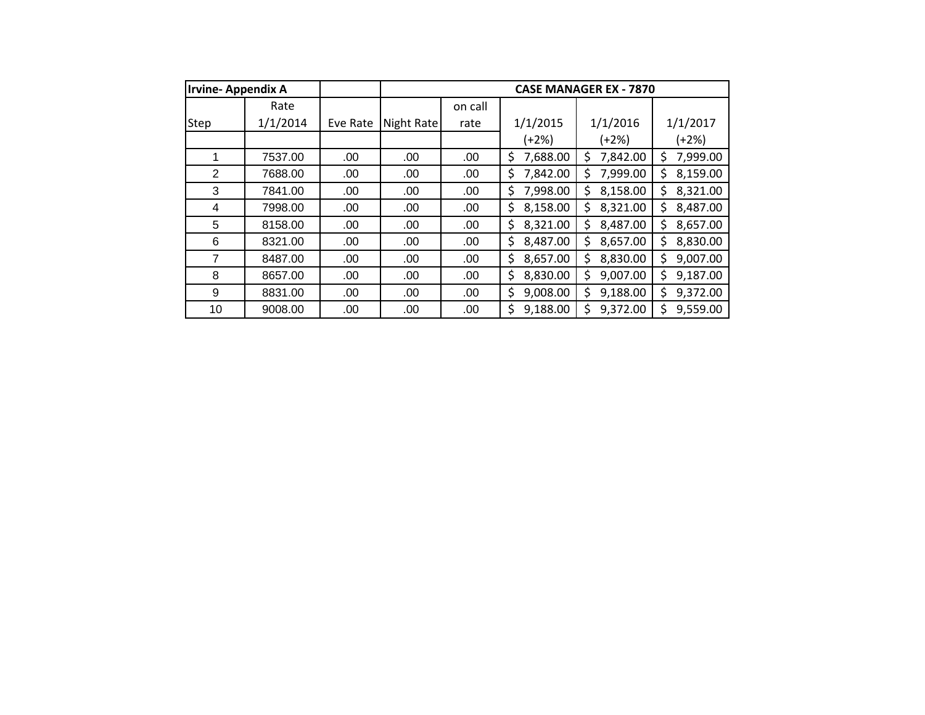| <b>Irvine-Appendix A</b> |          |          |            |         |                | <b>CASE MANAGER EX - 7870</b> |                |
|--------------------------|----------|----------|------------|---------|----------------|-------------------------------|----------------|
|                          | Rate     |          |            | on call |                |                               |                |
| Step                     | 1/1/2014 | Eve Rate | Night Rate | rate    | 1/1/2015       | 1/1/2016                      | 1/1/2017       |
|                          |          |          |            |         | (+2%)          | (+2%)                         | $(+2%)$        |
|                          | 7537.00  | .00.     | .00        | .00     | 7,688.00<br>\$ | 7,842.00<br>Ś                 | 7,999.00<br>\$ |
| 2                        | 7688.00  | .00      | .00        | .00     | 7,842.00<br>\$ | 7,999.00<br>\$                | \$<br>8,159.00 |
| 3                        | 7841.00  | .00      | .00        | .00     | 7,998.00<br>\$ | 8,158.00<br>\$                | 8,321.00<br>\$ |
| 4                        | 7998.00  | .00.     | .00        | .00     | 8,158.00<br>\$ | 8,321.00<br>Ś                 | 8,487.00<br>\$ |
| 5                        | 8158.00  | .00.     | .00.       | .00     | \$<br>8,321.00 | 8,487.00<br>\$                | 8,657.00<br>\$ |
| 6                        | 8321.00  | .00      | .00        | .00     | 8,487.00<br>\$ | 8,657.00<br>Ś                 | 8,830.00<br>\$ |
| 7                        | 8487.00  | .00.     | .00.       | .00     | \$<br>8,657.00 | 8,830.00<br>Ś                 | 9,007.00<br>\$ |
| 8                        | 8657.00  | .00      | .00.       | .00.    | \$<br>8,830.00 | 9,007.00<br>\$                | \$<br>9,187.00 |
| 9                        | 8831.00  | .00      | .00        | .00     | 9,008.00<br>\$ | 9,188.00<br>\$                | 9,372.00<br>\$ |
| 10                       | 9008.00  | .00      | .00        | .00     | 9,188.00<br>Ś. | 9,372.00<br>Ś                 | 9,559.00<br>\$ |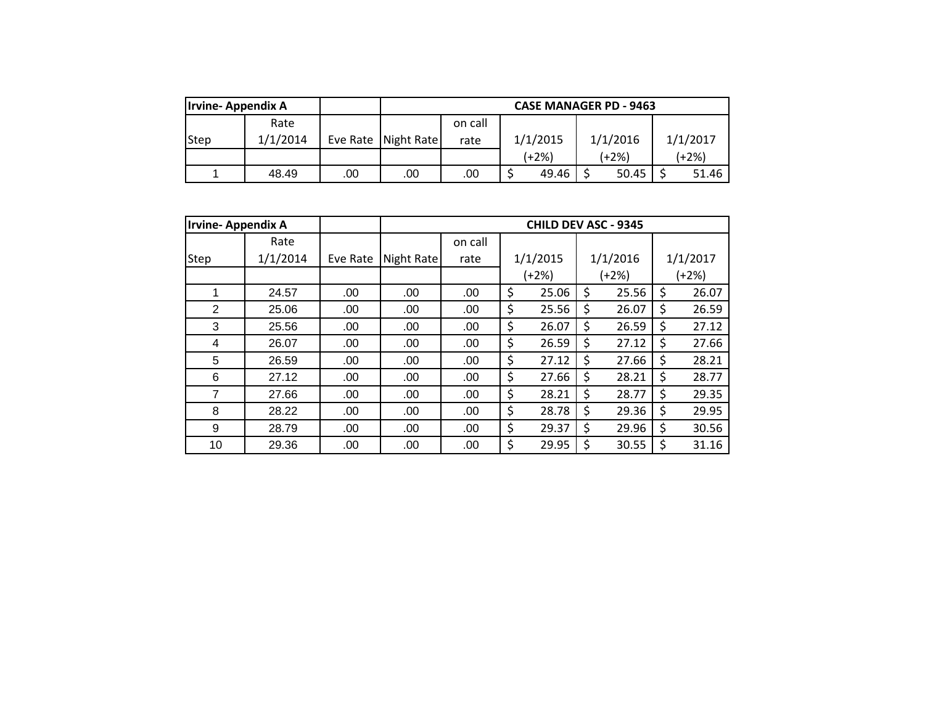| <b>Irvine-Appendix A</b> |          |     |                       |         |          |       |  | <b>CASE MANAGER PD - 9463</b> |          |
|--------------------------|----------|-----|-----------------------|---------|----------|-------|--|-------------------------------|----------|
|                          | Rate     |     |                       | on call |          |       |  |                               |          |
| <b>Step</b>              | 1/1/2014 |     | Eve Rate   Night Rate | rate    | 1/1/2015 |       |  | 1/1/2016                      | 1/1/2017 |
|                          |          |     |                       |         | (+2%)    |       |  | (+2%)                         | $(+2%)$  |
|                          | 48.49    | .00 | .00                   | .00     |          | 49.46 |  | 50.45                         | 51.46    |

|      | <b>Irvine-Appendix A</b> | <b>CHILD DEV ASC - 9345</b> |            |         |    |          |    |          |    |          |  |
|------|--------------------------|-----------------------------|------------|---------|----|----------|----|----------|----|----------|--|
|      | Rate                     |                             |            | on call |    |          |    |          |    |          |  |
| Step | 1/1/2014                 | Eve Rate                    | Night Rate | rate    |    | 1/1/2015 |    | 1/1/2016 |    | 1/1/2017 |  |
|      |                          |                             |            |         |    | (+2%)    |    | (+2%)    |    | $(+2%)$  |  |
|      | 24.57                    | .00                         | .00        | .00     | \$ | 25.06    | \$ | 25.56    | \$ | 26.07    |  |
| 2    | 25.06                    | .00                         | .00        | .00     | \$ | 25.56    | \$ | 26.07    | \$ | 26.59    |  |
| 3    | 25.56                    | .00                         | .00        | .00     | \$ | 26.07    | \$ | 26.59    | \$ | 27.12    |  |
| 4    | 26.07                    | .00                         | .00        | .00     | \$ | 26.59    | \$ | 27.12    | \$ | 27.66    |  |
| 5    | 26.59                    | .00                         | .00        | .00     | \$ | 27.12    | \$ | 27.66    | \$ | 28.21    |  |
| 6    | 27.12                    | .00                         | .00        | .00     | \$ | 27.66    | \$ | 28.21    | \$ | 28.77    |  |
| 7    | 27.66                    | .00                         | .00        | .00     | \$ | 28.21    | \$ | 28.77    | \$ | 29.35    |  |
| 8    | 28.22                    | .00                         | .00        | .00     | \$ | 28.78    | \$ | 29.36    | \$ | 29.95    |  |
| 9    | 28.79                    | .00                         | .00        | .00     | \$ | 29.37    | \$ | 29.96    | \$ | 30.56    |  |
| 10   | 29.36                    | .00                         | .00        | .00     | \$ | 29.95    | \$ | 30.55    | \$ | 31.16    |  |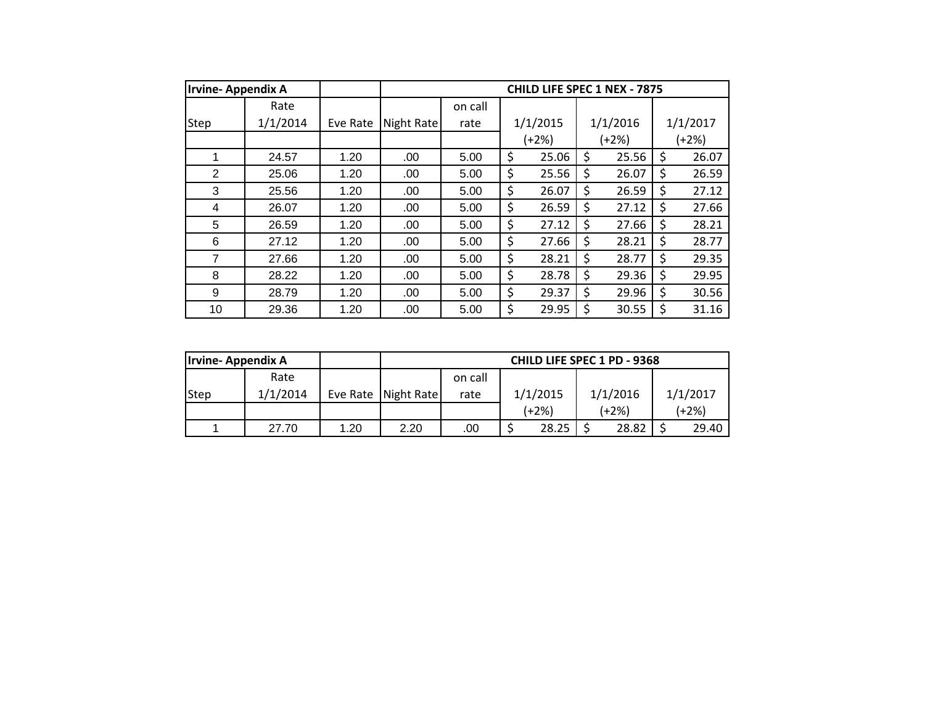| <b>Irvine-Appendix A</b> |          |          |            |         | CHILD LIFE SPEC 1 NEX - 7875 |             |             |
|--------------------------|----------|----------|------------|---------|------------------------------|-------------|-------------|
|                          | Rate     |          |            | on call |                              |             |             |
| Step                     | 1/1/2014 | Eve Rate | Night Rate | rate    | 1/1/2015                     | 1/1/2016    | 1/1/2017    |
|                          |          |          |            |         | $(+2%)$                      | $(+2%)$     | (+2%)       |
| 1                        | 24.57    | 1.20     | .00        | 5.00    | \$<br>25.06                  | \$<br>25.56 | \$<br>26.07 |
| 2                        | 25.06    | 1.20     | .00        | 5.00    | \$<br>25.56                  | \$<br>26.07 | \$<br>26.59 |
| 3                        | 25.56    | 1.20     | .00        | 5.00    | \$<br>26.07                  | \$<br>26.59 | \$<br>27.12 |
| 4                        | 26.07    | 1.20     | .00        | 5.00    | \$<br>26.59                  | \$<br>27.12 | \$<br>27.66 |
| 5                        | 26.59    | 1.20     | .00        | 5.00    | \$<br>27.12                  | \$<br>27.66 | \$<br>28.21 |
| 6                        | 27.12    | 1.20     | .00.       | 5.00    | \$<br>27.66                  | \$<br>28.21 | \$<br>28.77 |
| 7                        | 27.66    | 1.20     | .00        | 5.00    | \$<br>28.21                  | \$<br>28.77 | \$<br>29.35 |
| 8                        | 28.22    | 1.20     | .00        | 5.00    | \$<br>28.78                  | \$<br>29.36 | \$<br>29.95 |
| 9                        | 28.79    | 1.20     | .00        | 5.00    | \$<br>29.37                  | \$<br>29.96 | \$<br>30.56 |
| 10                       | 29.36    | 1.20     | .00        | 5.00    | \$<br>29.95                  | \$<br>30.55 | \$<br>31.16 |

| <b>Irvine-Appendix A</b> |          |      |                       |         |          | <b>CHILD LIFE SPEC 1 PD - 9368</b> |          |  |  |
|--------------------------|----------|------|-----------------------|---------|----------|------------------------------------|----------|--|--|
|                          | Rate     |      |                       | on call |          |                                    |          |  |  |
| Step                     | 1/1/2014 |      | Eve Rate   Night Rate | rate    | 1/1/2015 | 1/1/2016                           | 1/1/2017 |  |  |
|                          |          |      |                       |         | (+2%)    | (+2%)                              | $(+2%)$  |  |  |
|                          | 27.70    | 1.20 | 2.20                  | .00     | 28.25    | 28.82                              | 29.40    |  |  |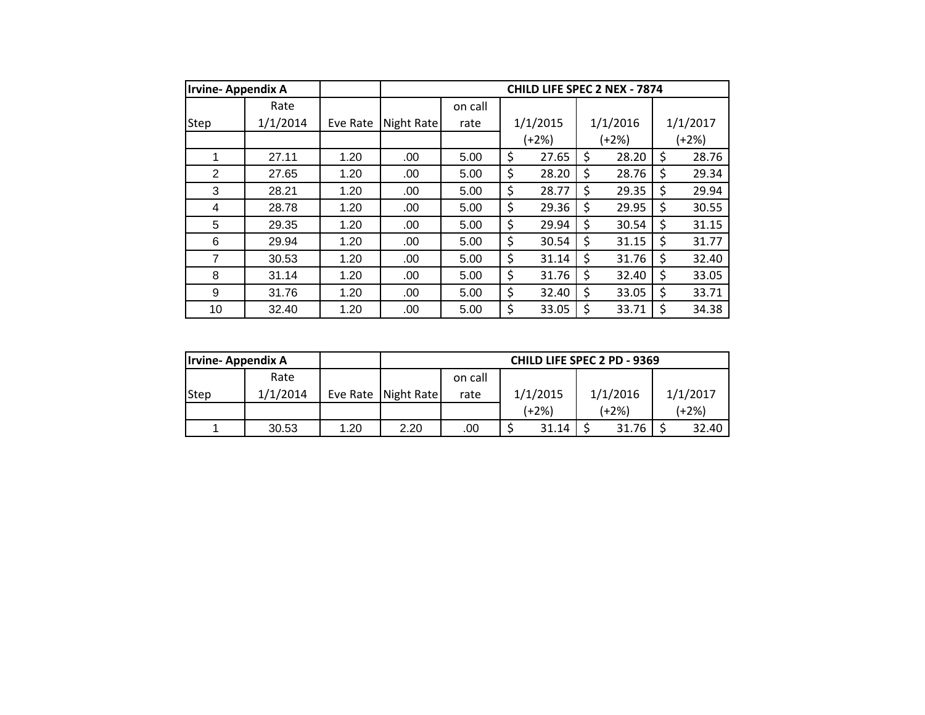| <b>Irvine-Appendix A</b> |          |          |            |         | CHILD LIFE SPEC 2 NEX - 7874 |             |             |
|--------------------------|----------|----------|------------|---------|------------------------------|-------------|-------------|
|                          | Rate     |          |            | on call |                              |             |             |
| <b>Step</b>              | 1/1/2014 | Eve Rate | Night Rate | rate    | 1/1/2015                     | 1/1/2016    | 1/1/2017    |
|                          |          |          |            |         | $(+2%)$                      | $(+2%)$     | (+2%)       |
| 1                        | 27.11    | 1.20     | .00        | 5.00    | \$<br>27.65                  | \$<br>28.20 | \$<br>28.76 |
| $\overline{2}$           | 27.65    | 1.20     | .00        | 5.00    | \$<br>28.20                  | \$<br>28.76 | \$<br>29.34 |
| 3                        | 28.21    | 1.20     | .00        | 5.00    | \$<br>28.77                  | \$<br>29.35 | \$<br>29.94 |
| 4                        | 28.78    | 1.20     | .00        | 5.00    | \$<br>29.36                  | \$<br>29.95 | \$<br>30.55 |
| 5                        | 29.35    | 1.20     | .00        | 5.00    | \$<br>29.94                  | \$<br>30.54 | \$<br>31.15 |
| 6                        | 29.94    | 1.20     | .00        | 5.00    | \$<br>30.54                  | \$<br>31.15 | \$<br>31.77 |
| $\overline{7}$           | 30.53    | 1.20     | .00        | 5.00    | \$<br>31.14                  | \$<br>31.76 | \$<br>32.40 |
| 8                        | 31.14    | 1.20     | .00        | 5.00    | \$<br>31.76                  | \$<br>32.40 | \$<br>33.05 |
| 9                        | 31.76    | 1.20     | .00        | 5.00    | \$<br>32.40                  | \$<br>33.05 | \$<br>33.71 |
| 10                       | 32.40    | 1.20     | .00        | 5.00    | \$<br>33.05                  | \$<br>33.71 | \$<br>34.38 |

| <b>Irvine-Appendix A</b> |          |      |                       |         |          | CHILD LIFE SPEC 2 PD - 9369 |          |  |  |
|--------------------------|----------|------|-----------------------|---------|----------|-----------------------------|----------|--|--|
|                          | Rate     |      |                       | on call |          |                             |          |  |  |
| Step                     | 1/1/2014 |      | Eve Rate   Night Rate | rate    | 1/1/2015 | 1/1/2016                    | 1/1/2017 |  |  |
|                          |          |      |                       |         | (+2%)    | (+2%)                       | $(+2%)$  |  |  |
|                          | 30.53    | 1.20 | 2.20                  | .00     | 31.14    | 31.76                       | 32.40    |  |  |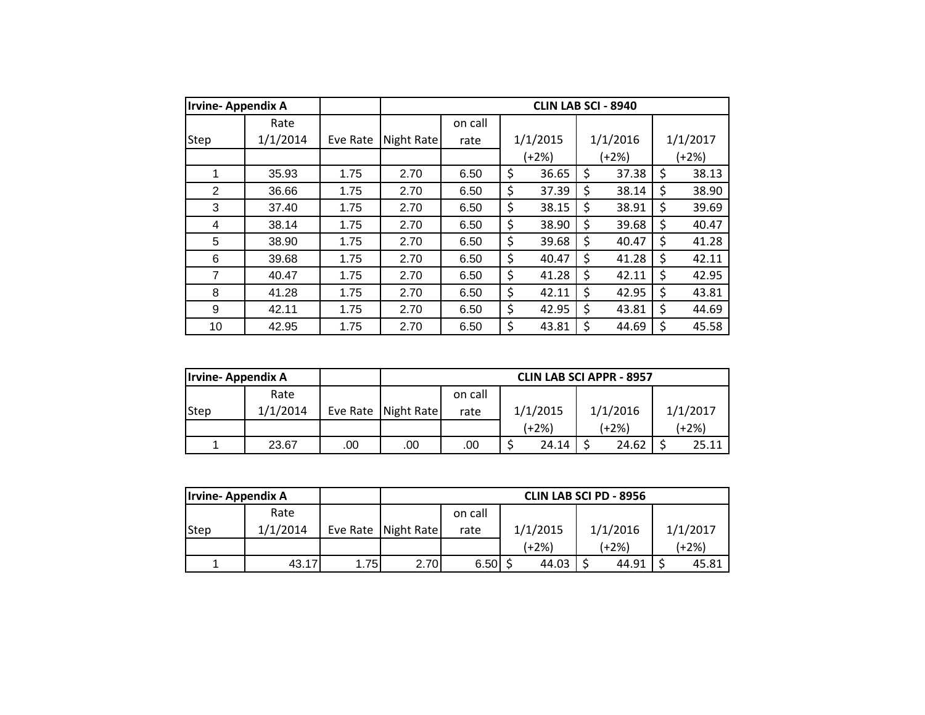| <b>Irvine-Appendix A</b> |          |          | <b>CLIN LAB SCI - 8940</b> |         |    |          |    |          |    |          |
|--------------------------|----------|----------|----------------------------|---------|----|----------|----|----------|----|----------|
|                          | Rate     |          |                            | on call |    |          |    |          |    |          |
| Step                     | 1/1/2014 | Eve Rate | Night Rate                 | rate    |    | 1/1/2015 |    | 1/1/2016 |    | 1/1/2017 |
|                          |          |          |                            |         |    | $(+2%)$  |    | (+2%)    |    | $(+2%)$  |
| 1                        | 35.93    | 1.75     | 2.70                       | 6.50    | \$ | 36.65    | \$ | 37.38    | \$ | 38.13    |
| 2                        | 36.66    | 1.75     | 2.70                       | 6.50    | \$ | 37.39    | \$ | 38.14    | \$ | 38.90    |
| 3                        | 37.40    | 1.75     | 2.70                       | 6.50    | \$ | 38.15    | \$ | 38.91    | \$ | 39.69    |
| 4                        | 38.14    | 1.75     | 2.70                       | 6.50    | \$ | 38.90    | \$ | 39.68    | \$ | 40.47    |
| 5                        | 38.90    | 1.75     | 2.70                       | 6.50    | \$ | 39.68    | \$ | 40.47    | \$ | 41.28    |
| 6                        | 39.68    | 1.75     | 2.70                       | 6.50    | \$ | 40.47    | \$ | 41.28    | \$ | 42.11    |
| 7                        | 40.47    | 1.75     | 2.70                       | 6.50    | \$ | 41.28    | \$ | 42.11    | \$ | 42.95    |
| 8                        | 41.28    | 1.75     | 2.70                       | 6.50    | \$ | 42.11    | \$ | 42.95    | \$ | 43.81    |
| 9                        | 42.11    | 1.75     | 2.70                       | 6.50    | \$ | 42.95    | \$ | 43.81    | \$ | 44.69    |
| 10                       | 42.95    | 1.75     | 2.70                       | 6.50    | \$ | 43.81    | \$ | 44.69    | \$ | 45.58    |

| <b>Irvine-Appendix A</b> |          |     |                       |         |          | <b>CLIN LAB SCI APPR - 8957</b> |          |  |
|--------------------------|----------|-----|-----------------------|---------|----------|---------------------------------|----------|--|
|                          | Rate     |     |                       | on call |          |                                 |          |  |
| Step                     | 1/1/2014 |     | Eve Rate   Night Rate | rate    | 1/1/2015 | 1/1/2016                        | 1/1/2017 |  |
|                          |          |     |                       |         | (+2%)    | (+2%)                           | (+2%)    |  |
|                          | 23.67    | .00 | .00                   | .00     | 24.14    | 24.62                           | 25.11    |  |

| <b>Irvine-Appendix A</b> |          |      |                       |         |          | <b>CLIN LAB SCI PD - 8956</b> |          |  |
|--------------------------|----------|------|-----------------------|---------|----------|-------------------------------|----------|--|
|                          | Rate     |      |                       | on call |          |                               |          |  |
| Step                     | 1/1/2014 |      | Eve Rate   Night Rate | rate    | 1/1/2015 | 1/1/2016                      | 1/1/2017 |  |
|                          |          |      |                       |         | (+2%)    | (+2%)                         | (+2%)    |  |
|                          | 43.17    | 1.75 | 2.70                  | 6.50    | 44.03    | 44.91                         | 45.81    |  |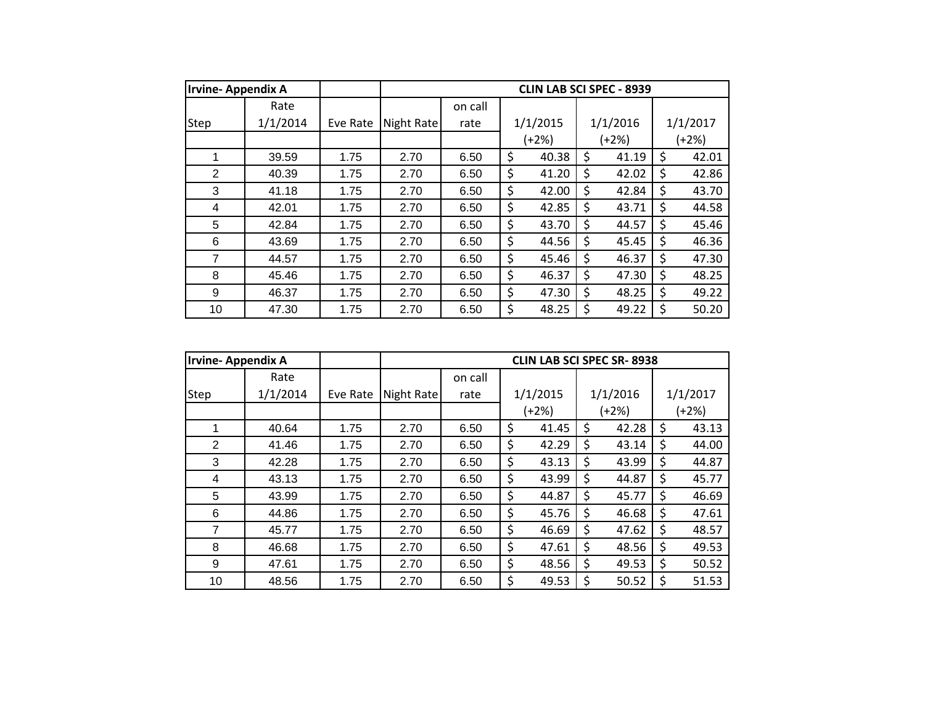| <b>Irvine-Appendix A</b> |          |          |            |         | <b>CLIN LAB SCI SPEC - 8939</b> |             |             |
|--------------------------|----------|----------|------------|---------|---------------------------------|-------------|-------------|
|                          | Rate     |          |            | on call |                                 |             |             |
| <b>Step</b>              | 1/1/2014 | Eve Rate | Night Rate | rate    | 1/1/2015                        | 1/1/2016    | 1/1/2017    |
|                          |          |          |            |         | $(+2%)$                         | $(+2%)$     | (+2%)       |
| 1                        | 39.59    | 1.75     | 2.70       | 6.50    | \$<br>40.38                     | \$<br>41.19 | \$<br>42.01 |
| 2                        | 40.39    | 1.75     | 2.70       | 6.50    | \$<br>41.20                     | \$<br>42.02 | \$<br>42.86 |
| 3                        | 41.18    | 1.75     | 2.70       | 6.50    | \$<br>42.00                     | \$<br>42.84 | \$<br>43.70 |
| 4                        | 42.01    | 1.75     | 2.70       | 6.50    | \$<br>42.85                     | \$<br>43.71 | \$<br>44.58 |
| 5                        | 42.84    | 1.75     | 2.70       | 6.50    | \$<br>43.70                     | \$<br>44.57 | \$<br>45.46 |
| 6                        | 43.69    | 1.75     | 2.70       | 6.50    | \$<br>44.56                     | \$<br>45.45 | \$<br>46.36 |
| $\overline{7}$           | 44.57    | 1.75     | 2.70       | 6.50    | \$<br>45.46                     | \$<br>46.37 | \$<br>47.30 |
| 8                        | 45.46    | 1.75     | 2.70       | 6.50    | \$<br>46.37                     | \$<br>47.30 | \$<br>48.25 |
| 9                        | 46.37    | 1.75     | 2.70       | 6.50    | \$<br>47.30                     | \$<br>48.25 | \$<br>49.22 |
| 10                       | 47.30    | 1.75     | 2.70       | 6.50    | \$<br>48.25                     | \$<br>49.22 | \$<br>50.20 |

| <b>Irvine-Appendix A</b> |          |          |            |         | <b>CLIN LAB SCI SPEC SR-8938</b> |             |             |
|--------------------------|----------|----------|------------|---------|----------------------------------|-------------|-------------|
|                          | Rate     |          |            | on call |                                  |             |             |
| Step                     | 1/1/2014 | Eve Rate | Night Rate | rate    | 1/1/2015                         | 1/1/2016    | 1/1/2017    |
|                          |          |          |            |         | (+2%)                            | (+2%)       | $(+2%)$     |
| 1                        | 40.64    | 1.75     | 2.70       | 6.50    | \$<br>41.45                      | \$<br>42.28 | \$<br>43.13 |
| $\overline{2}$           | 41.46    | 1.75     | 2.70       | 6.50    | \$<br>42.29                      | \$<br>43.14 | \$<br>44.00 |
| 3                        | 42.28    | 1.75     | 2.70       | 6.50    | \$<br>43.13                      | \$<br>43.99 | \$<br>44.87 |
| 4                        | 43.13    | 1.75     | 2.70       | 6.50    | \$<br>43.99                      | \$<br>44.87 | \$<br>45.77 |
| 5                        | 43.99    | 1.75     | 2.70       | 6.50    | \$<br>44.87                      | \$<br>45.77 | \$<br>46.69 |
| 6                        | 44.86    | 1.75     | 2.70       | 6.50    | \$<br>45.76                      | \$<br>46.68 | \$<br>47.61 |
| $\overline{7}$           | 45.77    | 1.75     | 2.70       | 6.50    | \$<br>46.69                      | \$<br>47.62 | \$<br>48.57 |
| 8                        | 46.68    | 1.75     | 2.70       | 6.50    | \$<br>47.61                      | \$<br>48.56 | \$<br>49.53 |
| 9                        | 47.61    | 1.75     | 2.70       | 6.50    | \$<br>48.56                      | \$<br>49.53 | \$<br>50.52 |
| 10                       | 48.56    | 1.75     | 2.70       | 6.50    | \$<br>49.53                      | \$<br>50.52 | \$<br>51.53 |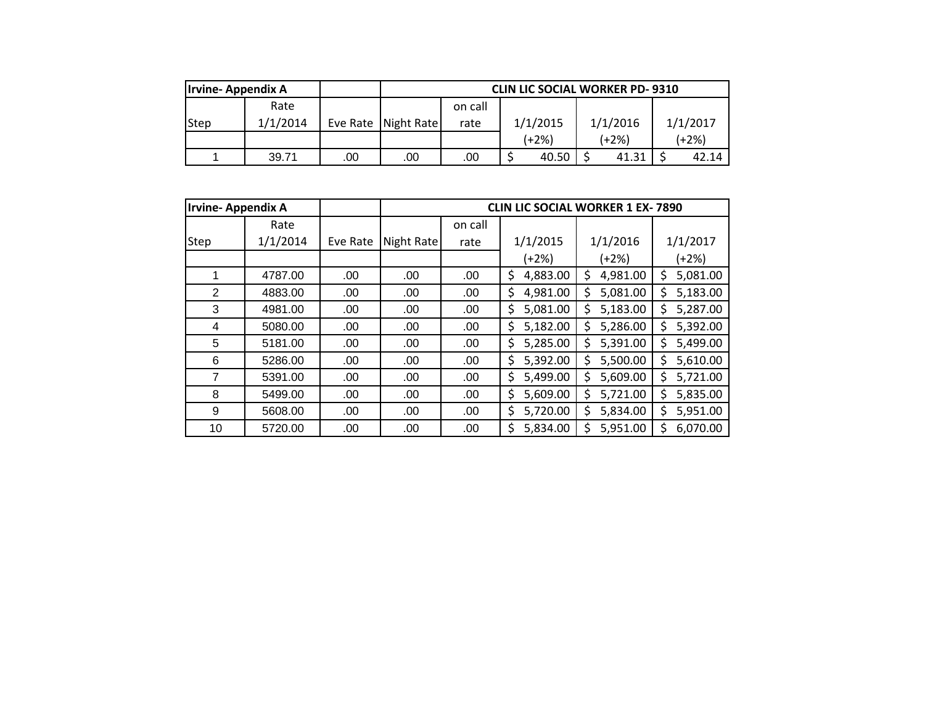| <b>Irvine-Appendix A</b> |          |     | <b>CLIN LIC SOCIAL WORKER PD-9310</b> |         |          |          |          |
|--------------------------|----------|-----|---------------------------------------|---------|----------|----------|----------|
|                          | Rate     |     |                                       | on call |          |          |          |
| <b>Step</b>              | 1/1/2014 |     | Eve Rate   Night Rate                 | rate    | 1/1/2015 | 1/1/2016 | 1/1/2017 |
|                          |          |     |                                       |         | (+2%)    | (+2%)    | $(+2%)$  |
|                          | 39.71    | .00 | .00                                   | .00     | 40.50    | 41.31    | 42.14    |

| <b>Irvine-Appendix A</b> |          |          |            |         | <b>CLIN LIC SOCIAL WORKER 1 EX-7890</b> |                |                |
|--------------------------|----------|----------|------------|---------|-----------------------------------------|----------------|----------------|
|                          | Rate     |          |            | on call |                                         |                |                |
| Step                     | 1/1/2014 | Eve Rate | Night Rate | rate    | 1/1/2015                                | 1/1/2016       | 1/1/2017       |
|                          |          |          |            |         | $(+2%)$                                 | (+2%)          | (+2%)          |
| 1                        | 4787.00  | .00      | .00        | .00     | \$<br>4,883.00                          | 4,981.00<br>\$ | 5,081.00<br>\$ |
| $\overline{2}$           | 4883.00  | .00      | .00        | .00     | \$<br>4,981.00                          | 5,081.00<br>\$ | \$<br>5,183.00 |
| 3                        | 4981.00  | .00      | .00        | .00     | \$<br>5,081.00                          | 5,183.00<br>\$ | 5,287.00<br>\$ |
| 4                        | 5080.00  | .00      | .00        | .00     | \$<br>5,182.00                          | 5,286.00<br>\$ | 5,392.00<br>\$ |
| 5                        | 5181.00  | .00.     | .00        | .00     | \$<br>5,285.00                          | 5,391.00<br>Ś  | \$<br>5,499.00 |
| 6                        | 5286.00  | .00      | .00        | .00     | 5,392.00<br>\$                          | 5,500.00<br>Ś  | 5,610.00<br>\$ |
| 7                        | 5391.00  | .00      | .00        | .00     | \$<br>5,499.00                          | 5,609.00<br>Ś  | 5,721.00<br>\$ |
| 8                        | 5499.00  | .00.     | .00.       | .00     | \$<br>5,609.00                          | 5,721.00<br>\$ | \$<br>5,835.00 |
| 9                        | 5608.00  | .00      | .00        | .00     | 5,720.00<br>\$                          | 5,834.00<br>Ś  | 5,951.00<br>\$ |
| 10                       | 5720.00  | .00      | .00        | .00     | Ś<br>5,834.00                           | 5,951.00<br>Ś  | 6,070.00<br>\$ |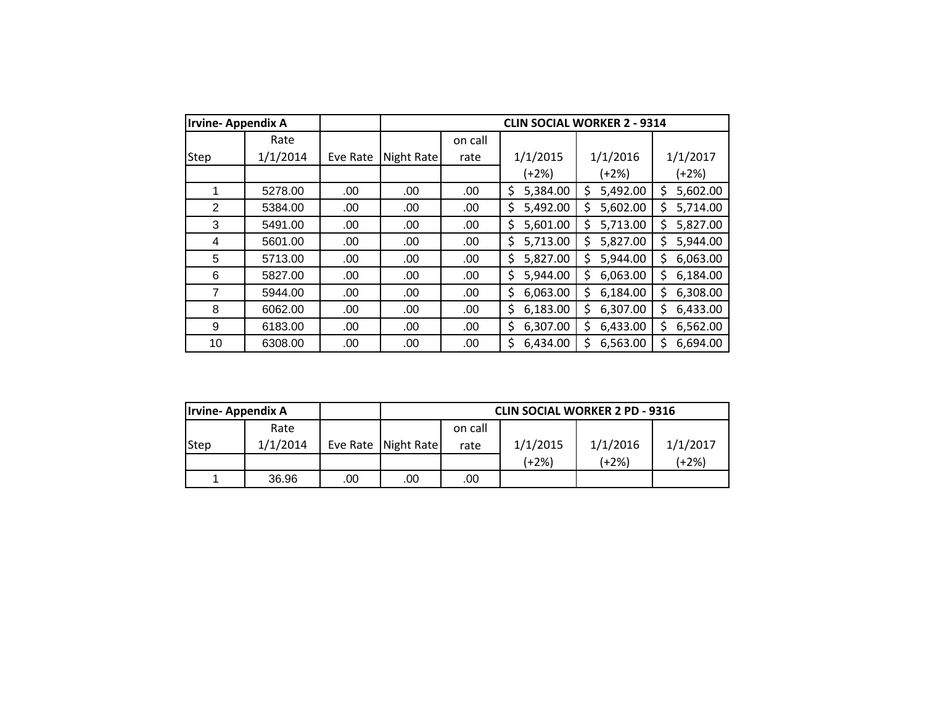| <b>Irvine-Appendix A</b> |          |          |            |         |                | <b>CLIN SOCIAL WORKER 2 - 9314</b> |                |
|--------------------------|----------|----------|------------|---------|----------------|------------------------------------|----------------|
|                          | Rate     |          |            | on call |                |                                    |                |
| <b>Step</b>              | 1/1/2014 | Eve Rate | Night Rate | rate    | 1/1/2015       | 1/1/2016                           | 1/1/2017       |
|                          |          |          |            |         | $(+2%)$        | $(+2%)$                            | $(+2%)$        |
|                          | 5278.00  | .00      | .00        | .00.    | \$<br>5,384.00 | 5,492.00<br>Ś                      | 5,602.00<br>\$ |
| $\overline{2}$           | 5384.00  | .00      | .00        | .00     | \$<br>5,492.00 | 5,602.00<br>\$                     | 5,714.00<br>\$ |
| 3                        | 5491.00  | .00      | .00        | .00     | \$<br>5,601.00 | 5,713.00<br>Ś                      | 5,827.00<br>Ś  |
| 4                        | 5601.00  | .00      | .00        | .00     | 5,713.00<br>\$ | 5,827.00<br>Ś                      | 5,944.00<br>Ś. |
| 5                        | 5713.00  | .00      | .00        | .00.    | \$<br>5,827.00 | 5,944.00<br>\$                     | 6,063.00<br>Ś. |
| 6                        | 5827.00  | .00      | .00        | .00     | 5,944.00<br>\$ | 6,063.00<br>Ś                      | 6,184.00<br>Ś  |
| 7                        | 5944.00  | .00      | .00        | .00     | 6,063.00<br>\$ | 6,184.00<br>Ś                      | 6,308.00<br>Ś  |
| 8                        | 6062.00  | .00      | .00        | .00     | \$<br>6,183.00 | 6,307.00<br>\$                     | 6,433.00<br>Ś. |
| 9                        | 6183.00  | .00      | .00        | .00     | \$<br>6,307.00 | 6,433.00<br>\$                     | 6,562.00<br>Ś  |
| 10                       | 6308.00  | .00      | .00        | .00     | 6,434.00<br>\$ | 6,563.00<br>S                      | 6,694.00<br>Ś  |

| <b>Irvine-Appendix A</b> |          |     | <b>CLIN SOCIAL WORKER 2 PD - 9316</b> |         |          |          |          |
|--------------------------|----------|-----|---------------------------------------|---------|----------|----------|----------|
|                          | Rate     |     |                                       | on call |          |          |          |
| Step                     | 1/1/2014 |     | Eve Rate   Night Rate                 | rate    | 1/1/2015 | 1/1/2016 | 1/1/2017 |
|                          |          |     |                                       |         | (+2%)    | (+2%)    | (+2%)    |
|                          | 36.96    | .00 | .00                                   | .00     |          |          |          |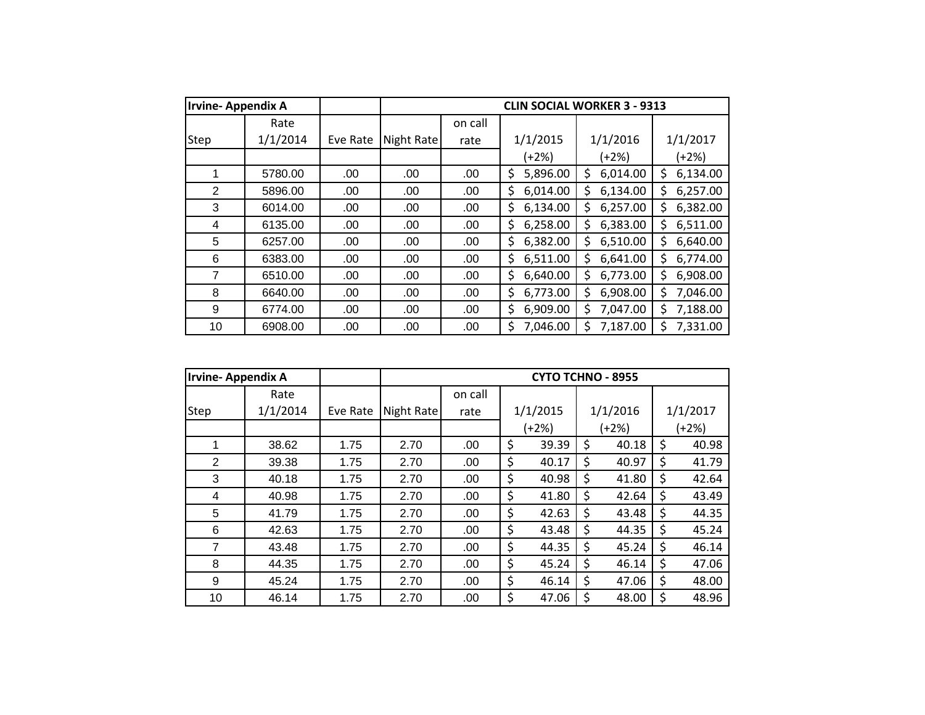| <b>Irvine-Appendix A</b> |          |          |            |         |                | <b>CLIN SOCIAL WORKER 3 - 9313</b> |                |
|--------------------------|----------|----------|------------|---------|----------------|------------------------------------|----------------|
|                          | Rate     |          |            | on call |                |                                    |                |
| Step                     | 1/1/2014 | Eve Rate | Night Rate | rate    | 1/1/2015       | 1/1/2016                           | 1/1/2017       |
|                          |          |          |            |         | $(+2%)$        | $(+2%)$                            | (+2%)          |
| 1                        | 5780.00  | .00      | .00        | .00     | 5,896.00<br>\$ | 6,014.00<br>\$                     | 6,134.00<br>\$ |
| 2                        | 5896.00  | .00      | .00        | .00     | \$<br>6,014.00 | \$<br>6,134.00                     | 6,257.00<br>\$ |
| 3                        | 6014.00  | .00      | .00        | .00     | 6,134.00<br>\$ | 6,257.00<br>Ś                      | 6,382.00<br>Ś. |
| 4                        | 6135.00  | .00      | .00        | .00     | 6,258.00<br>\$ | \$<br>6,383.00                     | 6,511.00<br>Ś. |
| 5                        | 6257.00  | .00      | .00        | .00.    | 6,382.00<br>\$ | \$<br>6,510.00                     | 6,640.00<br>\$ |
| 6                        | 6383.00  | .00      | .00        | .00.    | \$<br>6,511.00 | 6,641.00<br>\$                     | 6,774.00<br>Ś  |
| 7                        | 6510.00  | .00      | .00        | .00     | 6,640.00<br>\$ | \$<br>6,773.00                     | 6,908.00<br>Ś  |
| 8                        | 6640.00  | .00      | .00        | .00     | \$<br>6,773.00 | \$<br>6,908.00                     | 7,046.00<br>\$ |
| 9                        | 6774.00  | .00      | .00        | .00     | 6,909.00<br>\$ | 7,047.00<br>\$                     | 7,188.00<br>\$ |
| 10                       | 6908.00  | .00      | .00        | .00     | Ś<br>7,046.00  | 7,187.00<br>Ś                      | Ś<br>7,331.00  |

| <b>Irvine-Appendix A</b> |          |          |            |         | <b>CYTO TCHNO - 8955</b> |             |             |
|--------------------------|----------|----------|------------|---------|--------------------------|-------------|-------------|
|                          | Rate     |          |            | on call |                          |             |             |
| <b>Step</b>              | 1/1/2014 | Eve Rate | Night Rate | rate    | 1/1/2015                 | 1/1/2016    | 1/1/2017    |
|                          |          |          |            |         | $(+2%)$                  | (+2%)       | (+2%)       |
|                          | 38.62    | 1.75     | 2.70       | .00     | \$<br>39.39              | \$<br>40.18 | \$<br>40.98 |
| $\overline{2}$           | 39.38    | 1.75     | 2.70       | .00     | \$<br>40.17              | \$<br>40.97 | \$<br>41.79 |
| 3                        | 40.18    | 1.75     | 2.70       | .00     | \$<br>40.98              | \$<br>41.80 | \$<br>42.64 |
| 4                        | 40.98    | 1.75     | 2.70       | .00     | \$<br>41.80              | \$<br>42.64 | \$<br>43.49 |
| 5                        | 41.79    | 1.75     | 2.70       | .00     | \$<br>42.63              | \$<br>43.48 | \$<br>44.35 |
| 6                        | 42.63    | 1.75     | 2.70       | .00     | \$<br>43.48              | \$<br>44.35 | \$<br>45.24 |
| 7                        | 43.48    | 1.75     | 2.70       | .00     | \$<br>44.35              | \$<br>45.24 | \$<br>46.14 |
| 8                        | 44.35    | 1.75     | 2.70       | .00     | \$<br>45.24              | \$<br>46.14 | \$<br>47.06 |
| 9                        | 45.24    | 1.75     | 2.70       | .00     | \$<br>46.14              | \$<br>47.06 | \$<br>48.00 |
| 10                       | 46.14    | 1.75     | 2.70       | .00     | \$<br>47.06              | \$<br>48.00 | \$<br>48.96 |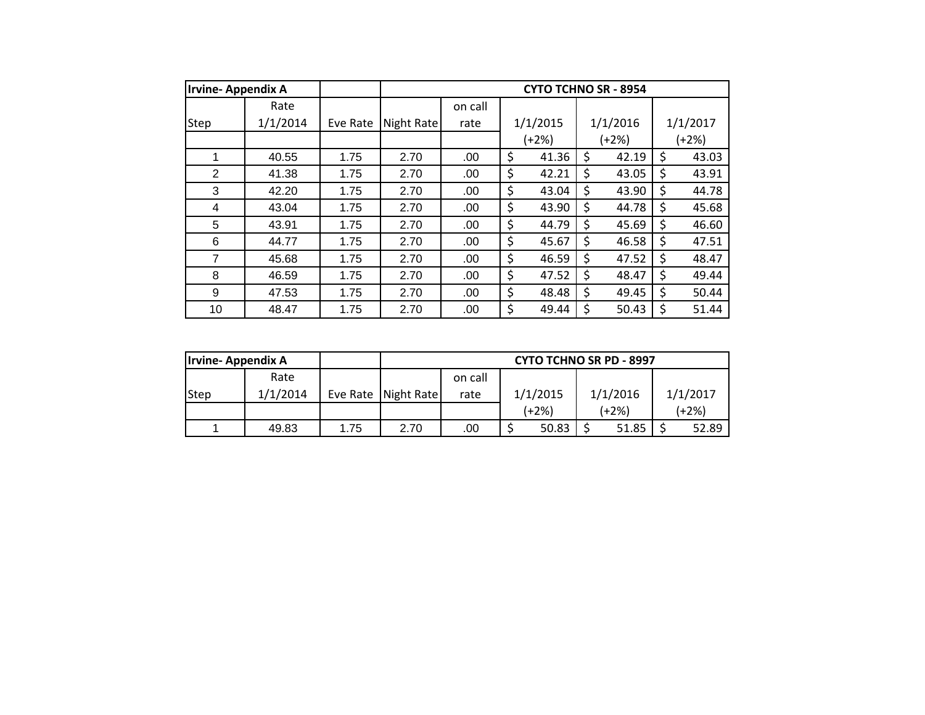| <b>Irvine-Appendix A</b> |          |          |            |         | <b>CYTO TCHNO SR - 8954</b> |             |             |
|--------------------------|----------|----------|------------|---------|-----------------------------|-------------|-------------|
|                          | Rate     |          |            | on call |                             |             |             |
| Step                     | 1/1/2014 | Eve Rate | Night Rate | rate    | 1/1/2015                    | 1/1/2016    | 1/1/2017    |
|                          |          |          |            |         | $(+2%)$                     | (+2%)       | (+2%)       |
| 1                        | 40.55    | 1.75     | 2.70       | .00     | \$<br>41.36                 | \$<br>42.19 | \$<br>43.03 |
| 2                        | 41.38    | 1.75     | 2.70       | .00     | \$<br>42.21                 | \$<br>43.05 | \$<br>43.91 |
| 3                        | 42.20    | 1.75     | 2.70       | .00     | \$<br>43.04                 | \$<br>43.90 | \$<br>44.78 |
| 4                        | 43.04    | 1.75     | 2.70       | .00     | \$<br>43.90                 | \$<br>44.78 | \$<br>45.68 |
| 5                        | 43.91    | 1.75     | 2.70       | .00     | \$<br>44.79                 | \$<br>45.69 | \$<br>46.60 |
| 6                        | 44.77    | 1.75     | 2.70       | .00     | \$<br>45.67                 | \$<br>46.58 | \$<br>47.51 |
| 7                        | 45.68    | 1.75     | 2.70       | .00     | \$<br>46.59                 | \$<br>47.52 | \$<br>48.47 |
| 8                        | 46.59    | 1.75     | 2.70       | .00     | \$<br>47.52                 | \$<br>48.47 | \$<br>49.44 |
| 9                        | 47.53    | 1.75     | 2.70       | .00     | \$<br>48.48                 | \$<br>49.45 | \$<br>50.44 |
| 10                       | 48.47    | 1.75     | 2.70       | .00     | \$<br>49.44                 | \$<br>50.43 | \$<br>51.44 |

| <b>Irvine-Appendix A</b> |          |      |                       |         |          | <b>CYTO TCHNO SR PD - 8997</b> |          |
|--------------------------|----------|------|-----------------------|---------|----------|--------------------------------|----------|
|                          | Rate     |      |                       | on call |          |                                |          |
| Step                     | 1/1/2014 |      | Eve Rate   Night Rate | rate    | 1/1/2015 | 1/1/2016                       | 1/1/2017 |
|                          |          |      |                       |         | (+2%)    | (+2%)                          | $(+2%)$  |
|                          | 49.83    | 1.75 | 2.70                  | .00     | 50.83    | 51.85                          | 52.89    |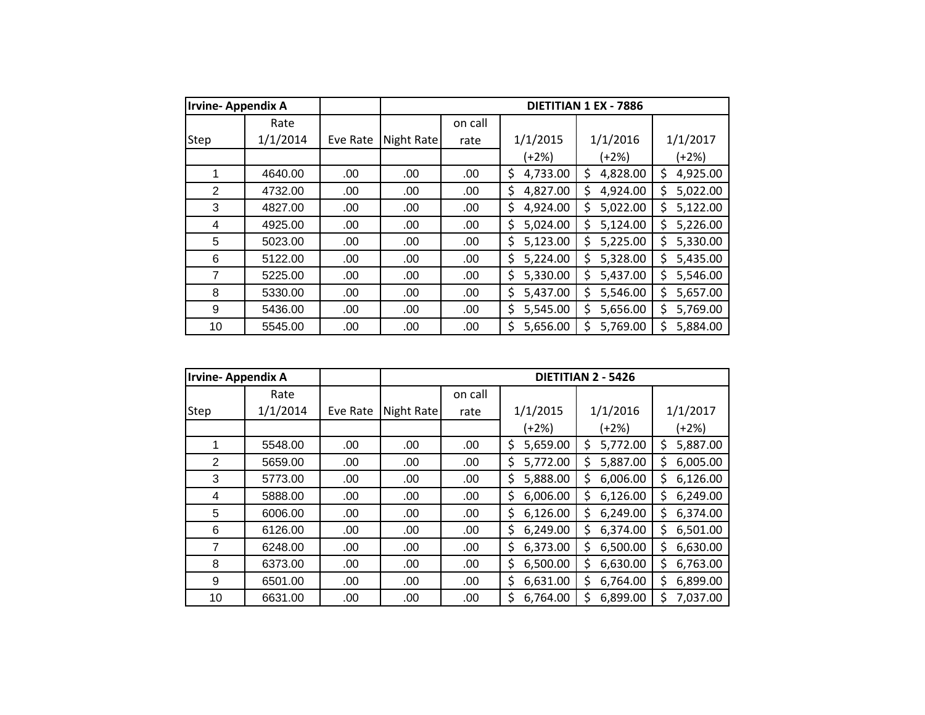| <b>Irvine-Appendix A</b> |          |          |            |         |                | DIETITIAN 1 EX - 7886 |                |
|--------------------------|----------|----------|------------|---------|----------------|-----------------------|----------------|
|                          | Rate     |          |            | on call |                |                       |                |
| Step                     | 1/1/2014 | Eve Rate | Night Rate | rate    | 1/1/2015       | 1/1/2016              | 1/1/2017       |
|                          |          |          |            |         | $(+2%)$        | $(+2%)$               | $(+2%)$        |
| 1                        | 4640.00  | .00      | .00        | .00     | 4,733.00<br>\$ | 4,828.00<br>\$        | 4,925.00<br>\$ |
| 2                        | 4732.00  | .00      | .00        | .00     | \$<br>4,827.00 | \$<br>4,924.00        | \$<br>5,022.00 |
| 3                        | 4827.00  | .00      | .00        | .00     | \$<br>4,924.00 | 5,022.00<br>\$        | 5,122.00<br>Ś  |
| 4                        | 4925.00  | .00      | .00        | .00     | \$<br>5,024.00 | 5,124.00<br>Ś         | 5,226.00<br>S  |
| 5                        | 5023.00  | .00.     | .00.       | .00     | \$<br>5,123.00 | 5,225.00<br>\$        | 5,330.00<br>Ś. |
| 6                        | 5122.00  | .00      | .00        | .00     | \$<br>5,224.00 | 5,328.00<br>\$        | 5,435.00<br>\$ |
| 7                        | 5225.00  | .00      | .00        | .00     | 5,330.00<br>\$ | 5,437.00<br>\$        | 5,546.00<br>Ś  |
| 8                        | 5330.00  | .00      | .00        | .00     | \$<br>5,437.00 | \$<br>5,546.00        | 5,657.00<br>\$ |
| 9                        | 5436.00  | .00      | .00        | .00     | \$<br>5,545.00 | 5,656.00<br>Ś         | 5,769.00<br>Ś. |
| 10                       | 5545.00  | .00      | .00        | .00     | \$<br>5,656.00 | 5,769.00<br>Ś         | Ś<br>5,884.00  |

| <b>Irvine-Appendix A</b> |          |          |            |         |                 | DIETITIAN 2 - 5426 |                 |
|--------------------------|----------|----------|------------|---------|-----------------|--------------------|-----------------|
|                          | Rate     |          |            | on call |                 |                    |                 |
| <b>Step</b>              | 1/1/2014 | Eve Rate | Night Rate | rate    | 1/1/2015        | 1/1/2016           | 1/1/2017        |
|                          |          |          |            |         | $(+2%)$         | $(+2%)$            | (+2%)           |
|                          | 5548.00  | .00      | .00        | .00     | 5,659.00<br>Ś.  | 5,772.00<br>Ś      | \$<br>5,887.00  |
| 2                        | 5659.00  | .00      | .00        | .00     | Ś.<br>5,772.00  | 5,887.00<br>S      | 6,005.00<br>\$  |
| 3                        | 5773.00  | .00      | .00        | .00     | \$<br>5,888.00  | 6,006.00<br>S      | \$.<br>6,126.00 |
| 4                        | 5888.00  | .00      | .00        | .00     | 6,006.00<br>\$. | 6,126.00<br>S.     | 6,249.00<br>S.  |
| 5                        | 6006.00  | .00      | .00.       | .00     | 6,126.00<br>\$. | 6,249.00<br>S      | 6,374.00<br>\$  |
| 6                        | 6126.00  | .00      | .00.       | .00     | \$<br>6,249.00  | 6,374.00<br>S      | 6,501.00<br>\$  |
| 7                        | 6248.00  | .00      | .00        | .00     | Ś.<br>6,373.00  | 6,500.00<br>S      | Ŝ.<br>6,630.00  |
| 8                        | 6373.00  | .00      | .00.       | .00     | 6,500.00<br>\$. | 6,630.00<br>S      | 6,763.00<br>Ś   |
| 9                        | 6501.00  | .00      | .00        | .00     | \$.<br>6,631.00 | 6,764.00<br>S      | 6,899.00<br>S.  |
| 10                       | 6631.00  | .00      | .00.       | .00     | \$.<br>6,764.00 | 6,899.00<br>Ś      | \$<br>7,037.00  |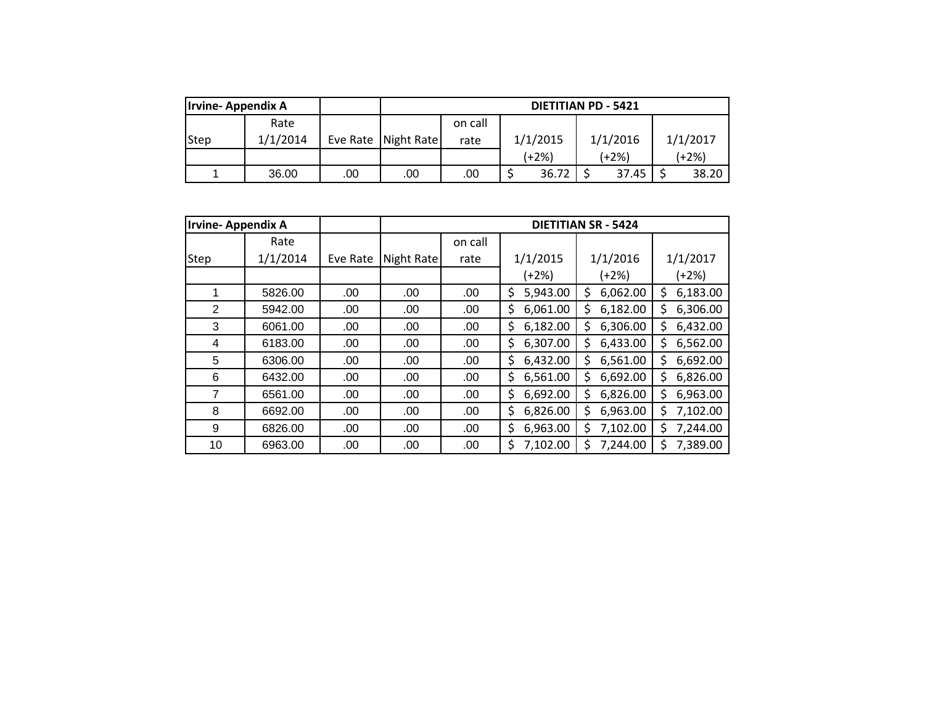| Irvine-Appendix A |          |     |                       |         |          | <b>DIETITIAN PD - 5421</b> |          |
|-------------------|----------|-----|-----------------------|---------|----------|----------------------------|----------|
|                   | Rate     |     |                       | on call |          |                            |          |
| <b>Step</b>       | 1/1/2014 |     | Eve Rate   Night Rate | rate    | 1/1/2015 | 1/1/2016                   | 1/1/2017 |
|                   |          |     |                       |         | (+2%)    | (+2%)                      | (+2%)    |
|                   | 36.00    | .00 | .00                   | .00     | 36.72    | 37.45                      | 38.20    |

|                | <b>Irvine-Appendix A</b> |          | <b>DIETITIAN SR - 5424</b> |         |                 |                 |                |  |  |  |
|----------------|--------------------------|----------|----------------------------|---------|-----------------|-----------------|----------------|--|--|--|
|                | Rate                     |          |                            | on call |                 |                 |                |  |  |  |
| Step           | 1/1/2014                 | Eve Rate | Night Rate                 | rate    | 1/1/2015        | 1/1/2016        | 1/1/2017       |  |  |  |
|                |                          |          |                            |         | $(+2%)$         | (+2%)           | $(+2%)$        |  |  |  |
|                | 5826.00                  | .00      | .00                        | .00     | \$.<br>5,943.00 | \$<br>6,062.00  | 6,183.00<br>\$ |  |  |  |
| $\overline{2}$ | 5942.00                  | .00      | .00                        | .00     | \$.<br>6,061.00 | \$<br>6,182.00  | 6,306.00<br>\$ |  |  |  |
| 3              | 6061.00                  | .00      | .00                        | .00     | \$.<br>6,182.00 | \$<br>6,306.00  | 6,432.00<br>\$ |  |  |  |
| 4              | 6183.00                  | .00      | .00                        | .00     | \$.<br>6,307.00 | \$<br>6,433.00  | 6,562.00<br>\$ |  |  |  |
| 5              | 6306.00                  | .00      | .00                        | .00     | \$.<br>6,432.00 | \$.<br>6,561.00 | 6,692.00<br>\$ |  |  |  |
| 6              | 6432.00                  | .00      | .00                        | .00     | \$.<br>6,561.00 | \$<br>6,692.00  | 6,826.00<br>Ś  |  |  |  |
| 7              | 6561.00                  | .00      | .00                        | .00     | \$.<br>6,692.00 | \$<br>6,826.00  | 6,963.00<br>\$ |  |  |  |
| 8              | 6692.00                  | .00      | .00                        | .00     | \$.<br>6,826.00 | \$<br>6,963.00  | 7,102.00<br>Ś  |  |  |  |
| 9              | 6826.00                  | .00      | .00                        | .00     | \$.<br>6,963.00 | \$<br>7,102.00  | 7,244.00<br>\$ |  |  |  |
| 10             | 6963.00                  | .00      | .00                        | .00     | \$<br>7,102.00  | \$<br>7,244.00  | 7,389.00<br>\$ |  |  |  |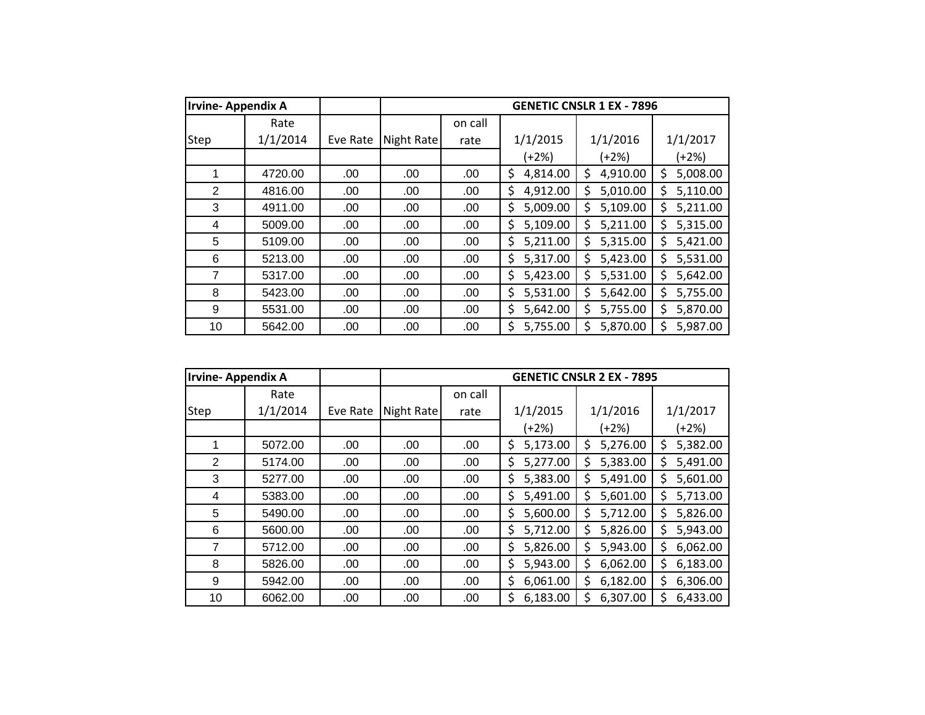| <b>Irvine-Appendix A</b> |          |          |            |         |                | <b>GENETIC CNSLR 1 EX - 7896</b> |                |
|--------------------------|----------|----------|------------|---------|----------------|----------------------------------|----------------|
|                          | Rate     |          |            | on call |                |                                  |                |
| Step                     | 1/1/2014 | Eve Rate | Night Rate | rate    | 1/1/2015       | 1/1/2016                         | 1/1/2017       |
|                          |          |          |            |         | $(+2%)$        | $(+2%)$                          | (+2%)          |
| 1                        | 4720.00  | .00      | .00        | .00     | \$<br>4,814.00 | 4,910.00<br>\$                   | 5,008.00<br>\$ |
| 2                        | 4816.00  | .00      | .00        | .00     | \$<br>4,912.00 | \$<br>5,010.00                   | \$<br>5,110.00 |
| 3                        | 4911.00  | .00      | .00        | .00     | 5,009.00<br>\$ | 5,109.00<br>\$                   | 5,211.00<br>\$ |
| 4                        | 5009.00  | .00      | .00        | .00     | \$<br>5,109.00 | \$<br>5,211.00                   | 5,315.00<br>\$ |
| 5                        | 5109.00  | .00      | .00        | .00.    | \$<br>5,211.00 | 5,315.00<br>\$                   | 5,421.00<br>\$ |
| 6                        | 5213.00  | .00      | .00        | .00     | \$<br>5,317.00 | \$<br>5,423.00                   | 5,531.00<br>\$ |
| 7                        | 5317.00  | .00      | .00        | .00     | 5,423.00<br>\$ | \$<br>5,531.00                   | 5,642.00<br>\$ |
| 8                        | 5423.00  | .00      | .00        | .00     | \$<br>5,531.00 | \$<br>5,642.00                   | 5,755.00<br>\$ |
| 9                        | 5531.00  | .00      | .00        | .00     | \$<br>5,642.00 | 5,755.00<br>\$                   | 5,870.00<br>Ś. |
| 10                       | 5642.00  | .00      | .00        | .00     | 5,755.00<br>\$ | Ś<br>5,870.00                    | Ś<br>5,987.00  |

| <b>Irvine-Appendix A</b> |          |          |            |         |                | <b>GENETIC CNSLR 2 EX - 7895</b> |                |
|--------------------------|----------|----------|------------|---------|----------------|----------------------------------|----------------|
|                          | Rate     |          |            | on call |                |                                  |                |
| <b>Step</b>              | 1/1/2014 | Eve Rate | Night Rate | rate    | 1/1/2015       | 1/1/2016                         | 1/1/2017       |
|                          |          |          |            |         | $(+2%)$        | (+2%)                            | (+2%)          |
|                          | 5072.00  | .00      | .00        | .00     | \$<br>5,173.00 | 5,276.00<br>Ś                    | 5,382.00<br>\$ |
| $\overline{2}$           | 5174.00  | .00      | .00        | .00     | 5,277.00<br>\$ | 5,383.00<br>Ś                    | 5,491.00<br>\$ |
| 3                        | 5277.00  | .00      | .00        | .00     | 5,383.00<br>\$ | 5,491.00<br>Ś                    | 5,601.00<br>\$ |
| 4                        | 5383.00  | .00      | .00        | .00     | \$<br>5,491.00 | 5,601.00<br>S                    | 5,713.00<br>\$ |
| 5                        | 5490.00  | .00      | .00        | .00     | 5,600.00<br>\$ | 5,712.00<br>Ś                    | 5,826.00<br>\$ |
| 6                        | 5600.00  | .00      | .00        | .00     | 5,712.00<br>\$ | 5,826.00<br>Ś                    | \$<br>5,943.00 |
| $\overline{7}$           | 5712.00  | .00      | .00        | .00     | \$<br>5,826.00 | 5,943.00<br>S                    | 6,062.00<br>\$ |
| 8                        | 5826.00  | .00      | .00        | .00     | 5,943.00<br>\$ | 6,062.00<br>Ś                    | 6,183.00<br>\$ |
| 9                        | 5942.00  | .00      | .00        | .00     | \$<br>6,061.00 | 6,182.00<br>Ś                    | \$<br>6,306.00 |
| 10                       | 6062.00  | .00      | .00        | .00     | \$<br>6,183.00 | 6,307.00<br>S                    | \$<br>6,433.00 |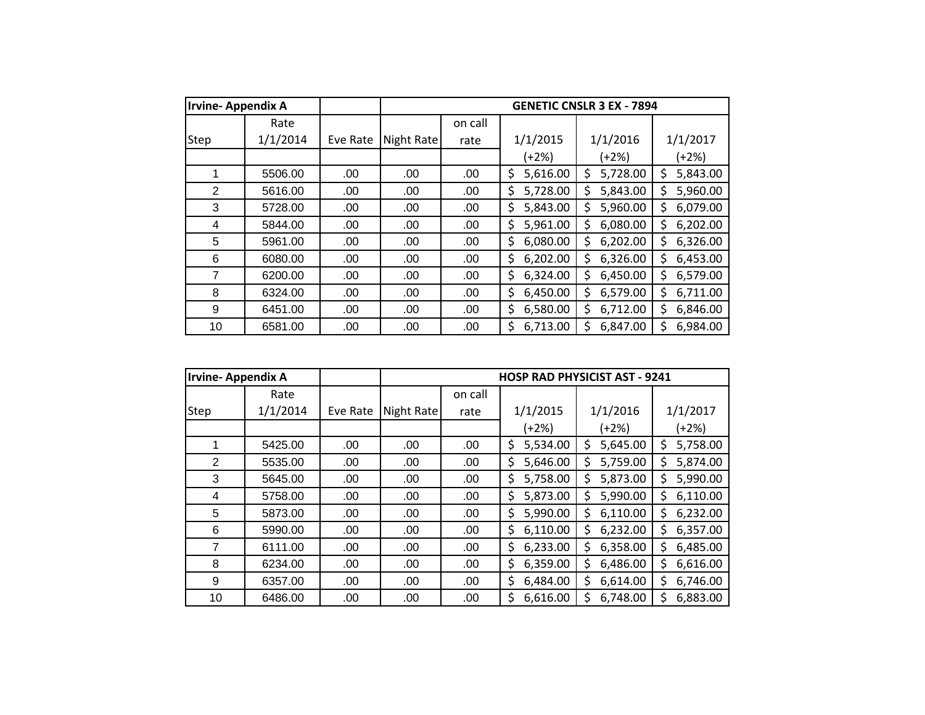| <b>Irvine-Appendix A</b> |          |          |            |         |                | <b>GENETIC CNSLR 3 EX - 7894</b> |                |
|--------------------------|----------|----------|------------|---------|----------------|----------------------------------|----------------|
|                          | Rate     |          |            | on call |                |                                  |                |
| Step                     | 1/1/2014 | Eve Rate | Night Rate | rate    | 1/1/2015       | 1/1/2016                         | 1/1/2017       |
|                          |          |          |            |         | (+2%)          | $(+2%)$                          | (+2%)          |
| 1                        | 5506.00  | .00      | .00        | .00.    | 5,616.00<br>\$ | 5,728.00<br>\$                   | 5,843.00<br>\$ |
| 2                        | 5616.00  | .00      | .00        | .00     | \$<br>5,728.00 | \$<br>5,843.00                   | \$<br>5,960.00 |
| 3                        | 5728.00  | .00      | .00        | .00     | 5,843.00<br>\$ | 5,960.00<br>\$                   | 6,079.00<br>Ś  |
| 4                        | 5844.00  | .00      | .00        | .00     | 5,961.00<br>\$ | Ś<br>6,080.00                    | 6,202.00<br>Ś  |
| 5                        | 5961.00  | .00      | .00        | .00.    | \$<br>6,080.00 | 6,202.00<br>\$                   | 6,326.00<br>Ś  |
| 6                        | 6080.00  | .00      | .00        | .00     | \$<br>6,202.00 | 6,326.00<br>Ś                    | 6,453.00<br>Ś  |
| 7                        | 6200.00  | .00      | .00        | .00     | 6,324.00<br>\$ | \$<br>6,450.00                   | 6,579.00<br>Ś  |
| 8                        | 6324.00  | .00      | .00        | .00     | \$<br>6,450.00 | \$<br>6,579.00                   | 6,711.00<br>\$ |
| 9                        | 6451.00  | .00      | .00        | .00     | \$<br>6,580.00 | 6,712.00<br>Ś                    | 6,846.00<br>Ś  |
| 10                       | 6581.00  | .00      | .00        | .00     | Ś<br>6,713.00  | Ś<br>6,847.00                    | Ś<br>6,984.00  |

| <b>Irvine-Appendix A</b> |          |          |            |         | <b>HOSP RAD PHYSICIST AST - 9241</b> |               |                |
|--------------------------|----------|----------|------------|---------|--------------------------------------|---------------|----------------|
|                          | Rate     |          |            | on call |                                      |               |                |
| Step                     | 1/1/2014 | Eve Rate | Night Rate | rate    | 1/1/2015                             | 1/1/2016      | 1/1/2017       |
|                          |          |          |            |         | $(+2%)$                              | (+2%)         | (+2%)          |
|                          | 5425.00  | .00      | .00        | .00     | \$<br>5,534.00                       | 5,645.00<br>Ś | 5,758.00<br>\$ |
| $\overline{2}$           | 5535.00  | .00      | .00        | .00     | 5,646.00<br>\$                       | 5,759.00<br>Ś | 5,874.00<br>\$ |
| 3                        | 5645.00  | .00      | .00        | .00     | 5,758.00<br>\$                       | 5,873.00<br>Ś | 5,990.00<br>\$ |
| 4                        | 5758.00  | .00      | .00        | .00     | \$<br>5,873.00                       | 5,990.00<br>S | 6,110.00<br>\$ |
| 5                        | 5873.00  | .00      | .00        | .00     | 5,990.00<br>\$                       | 6,110.00<br>Ś | 6,232.00<br>\$ |
| 6                        | 5990.00  | .00      | .00        | .00     | \$<br>6,110.00                       | 6,232.00<br>Ś | \$<br>6,357.00 |
| $\overline{7}$           | 6111.00  | .00      | .00        | .00     | \$<br>6,233.00                       | 6,358.00<br>S | 6,485.00<br>\$ |
| 8                        | 6234.00  | .00      | .00        | .00     | 6,359.00<br>\$                       | 6,486.00<br>Ś | 6,616.00<br>\$ |
| 9                        | 6357.00  | .00      | .00        | .00     | \$<br>6,484.00                       | 6,614.00<br>Ś | \$<br>6,746.00 |
| 10                       | 6486.00  | .00      | .00        | .00     | \$<br>6,616.00                       | 6,748.00<br>S | \$<br>6,883.00 |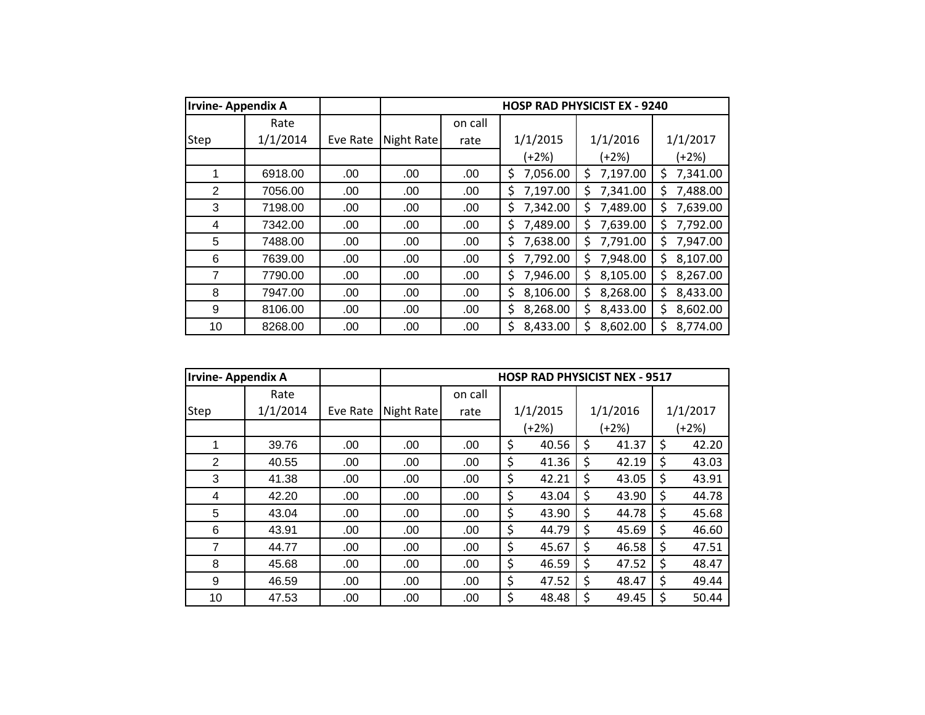| <b>Irvine-Appendix A</b> |          |          |            |         |                 | <b>HOSP RAD PHYSICIST EX - 9240</b> |                |
|--------------------------|----------|----------|------------|---------|-----------------|-------------------------------------|----------------|
|                          | Rate     |          |            | on call |                 |                                     |                |
| Step                     | 1/1/2014 | Eve Rate | Night Rate | rate    | 1/1/2015        | 1/1/2016                            | 1/1/2017       |
|                          |          |          |            |         | $(+2%)$         | $(+2%)$                             | (+2%)          |
| 1                        | 6918.00  | .00      | .00        | .00     | 7,056.00<br>\$. | 7,197.00<br>Ś                       | 7,341.00<br>S  |
| $\overline{2}$           | 7056.00  | .00.     | .00.       | .00     | 7,197.00<br>\$  | 7,341.00<br>Ś                       | 7,488.00<br>Ś. |
| 3                        | 7198.00  | .00      | .00        | .00     | 7,342.00<br>\$  | 7,489.00<br>Ś                       | 7,639.00<br>Ś  |
| 4                        | 7342.00  | .00      | .00        | .00     | 7,489.00<br>\$  | 7,639.00<br>Ś                       | 7,792.00<br>Ś  |
| 5                        | 7488.00  | .00      | .00        | .00     | 7,638.00<br>\$  | 7,791.00<br>\$                      | 7,947.00<br>Ś. |
| 6                        | 7639.00  | .00      | .00        | .00     | 7,792.00<br>\$  | 7,948.00<br>Ś                       | 8,107.00<br>Ś  |
| 7                        | 7790.00  | .00      | .00        | .00     | 7,946.00<br>\$  | 8,105.00<br>Ś                       | 8,267.00<br>\$ |
| 8                        | 7947.00  | .00      | .00        | .00     | \$<br>8,106.00  | \$<br>8,268.00                      | 8,433.00<br>\$ |
| 9                        | 8106.00  | .00      | .00        | .00     | 8,268.00<br>\$  | 8,433.00<br>\$                      | 8,602.00<br>S  |
| 10                       | 8268.00  | .00      | .00        | .00     | Ś<br>8,433.00   | Ś<br>8,602.00                       | Ś<br>8,774.00  |

| <b>Irvine-Appendix A</b> |          |          |            |         |    | <b>HOSP RAD PHYSICIST NEX - 9517</b> |    |          |             |
|--------------------------|----------|----------|------------|---------|----|--------------------------------------|----|----------|-------------|
|                          | Rate     |          |            | on call |    |                                      |    |          |             |
| Step                     | 1/1/2014 | Eve Rate | Night Rate | rate    |    | 1/1/2015                             |    | 1/1/2016 | 1/1/2017    |
|                          |          |          |            |         |    | (+2%)                                |    | (+2%)    | $(+2%)$     |
|                          | 39.76    | .00      | .00        | .00     | \$ | 40.56                                | Ś. | 41.37    | \$<br>42.20 |
| 2                        | 40.55    | .00.     | .00        | .00     | \$ | 41.36                                | \$ | 42.19    | \$<br>43.03 |
| 3                        | 41.38    | .00.     | .00        | .00     | \$ | 42.21                                | \$ | 43.05    | \$<br>43.91 |
| 4                        | 42.20    | .00      | .00        | .00     | \$ | 43.04                                | \$ | 43.90    | \$<br>44.78 |
| 5                        | 43.04    | .00      | .00        | .00     | \$ | 43.90                                | \$ | 44.78    | \$<br>45.68 |
| 6                        | 43.91    | .00.     | .00        | .00     | \$ | 44.79                                | \$ | 45.69    | \$<br>46.60 |
| 7                        | 44.77    | .00      | .00        | .00     | \$ | 45.67                                | Ś  | 46.58    | \$<br>47.51 |
| 8                        | 45.68    | .00      | .00        | .00     | \$ | 46.59                                | \$ | 47.52    | \$<br>48.47 |
| 9                        | 46.59    | .00.     | .00        | .00     | \$ | 47.52                                | \$ | 48.47    | \$<br>49.44 |
| 10                       | 47.53    | .00      | .00        | .00     | \$ | 48.48                                | \$ | 49.45    | \$<br>50.44 |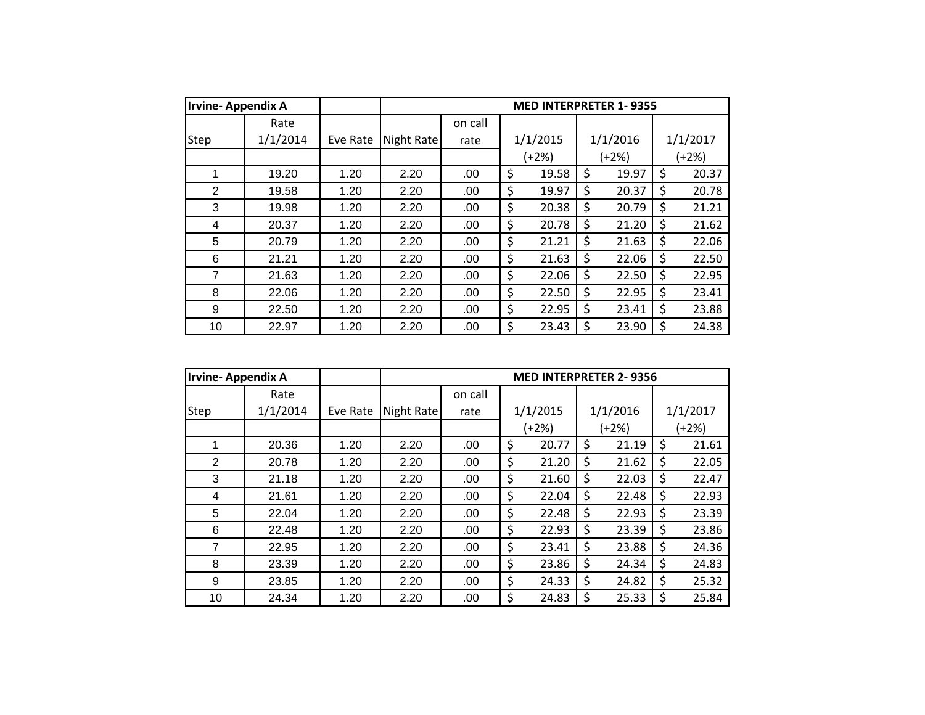| <b>Irvine-Appendix A</b> |          |          |            |         | <b>MED INTERPRETER 1-9355</b> |             |             |
|--------------------------|----------|----------|------------|---------|-------------------------------|-------------|-------------|
|                          | Rate     |          |            | on call |                               |             |             |
| Step                     | 1/1/2014 | Eve Rate | Night Rate | rate    | 1/1/2015                      | 1/1/2016    | 1/1/2017    |
|                          |          |          |            |         | (+2%)                         | (+2%)       | $(+2%)$     |
| 1                        | 19.20    | 1.20     | 2.20       | .00     | \$<br>19.58                   | \$<br>19.97 | \$<br>20.37 |
| 2                        | 19.58    | 1.20     | 2.20       | .00     | \$<br>19.97                   | \$<br>20.37 | \$<br>20.78 |
| 3                        | 19.98    | 1.20     | 2.20       | .00     | \$<br>20.38                   | \$<br>20.79 | \$<br>21.21 |
| 4                        | 20.37    | 1.20     | 2.20       | .00     | \$<br>20.78                   | \$<br>21.20 | \$<br>21.62 |
| 5                        | 20.79    | 1.20     | 2.20       | .00     | \$<br>21.21                   | \$<br>21.63 | \$<br>22.06 |
| 6                        | 21.21    | 1.20     | 2.20       | .00     | \$<br>21.63                   | \$<br>22.06 | \$<br>22.50 |
| 7                        | 21.63    | 1.20     | 2.20       | .00     | \$<br>22.06                   | \$<br>22.50 | \$<br>22.95 |
| 8                        | 22.06    | 1.20     | 2.20       | .00     | \$<br>22.50                   | \$<br>22.95 | \$<br>23.41 |
| 9                        | 22.50    | 1.20     | 2.20       | .00     | \$<br>22.95                   | \$<br>23.41 | \$<br>23.88 |
| 10                       | 22.97    | 1.20     | 2.20       | .00     | \$<br>23.43                   | \$<br>23.90 | \$<br>24.38 |

| <b>Irvine-Appendix A</b> |          |          |            |         | <b>MED INTERPRETER 2-9356</b> |             |             |
|--------------------------|----------|----------|------------|---------|-------------------------------|-------------|-------------|
|                          | Rate     |          |            | on call |                               |             |             |
| Step                     | 1/1/2014 | Eve Rate | Night Rate | rate    | 1/1/2015                      | 1/1/2016    | 1/1/2017    |
|                          |          |          |            |         | $(+2%)$                       | (+2%)       | (+2%)       |
| 1                        | 20.36    | 1.20     | 2.20       | .00     | \$<br>20.77                   | \$<br>21.19 | \$<br>21.61 |
| 2                        | 20.78    | 1.20     | 2.20       | .00     | \$<br>21.20                   | \$<br>21.62 | \$<br>22.05 |
| 3                        | 21.18    | 1.20     | 2.20       | .00     | \$<br>21.60                   | \$<br>22.03 | \$<br>22.47 |
| 4                        | 21.61    | 1.20     | 2.20       | .00     | \$<br>22.04                   | \$<br>22.48 | \$<br>22.93 |
| 5                        | 22.04    | 1.20     | 2.20       | .00     | \$<br>22.48                   | \$<br>22.93 | \$<br>23.39 |
| 6                        | 22.48    | 1.20     | 2.20       | .00     | \$<br>22.93                   | \$<br>23.39 | \$<br>23.86 |
| $\overline{7}$           | 22.95    | 1.20     | 2.20       | .00     | \$<br>23.41                   | \$<br>23.88 | \$<br>24.36 |
| 8                        | 23.39    | 1.20     | 2.20       | .00     | \$<br>23.86                   | \$<br>24.34 | \$<br>24.83 |
| 9                        | 23.85    | 1.20     | 2.20       | .00     | \$<br>24.33                   | \$<br>24.82 | \$<br>25.32 |
| 10                       | 24.34    | 1.20     | 2.20       | .00     | \$<br>24.83                   | \$<br>25.33 | \$<br>25.84 |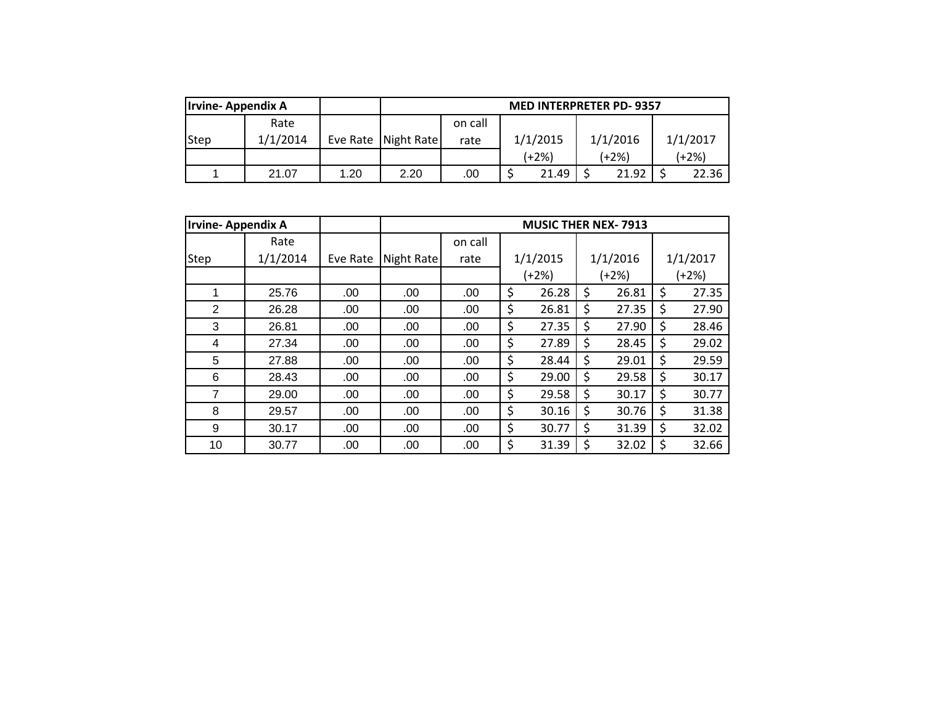| <b>Irvine-Appendix A</b> |          |      |                       |         |          | <b>MED INTERPRETER PD-9357</b> |          |
|--------------------------|----------|------|-----------------------|---------|----------|--------------------------------|----------|
|                          | Rate     |      |                       | on call |          |                                |          |
| <b>Step</b>              | 1/1/2014 |      | Eve Rate   Night Rate | rate    | 1/1/2015 | 1/1/2016                       | 1/1/2017 |
|                          |          |      |                       |         | (+2%)    | (+2%)                          | $(+2%)$  |
|                          | 21.07    | 1.20 | 2.20                  | .00     | 21.49    | 21.92                          | 22.36    |

|                | <b>Irvine-Appendix A</b> |          |            | <b>MUSIC THER NEX-7913</b> |       |          |         |          |    |          |  |
|----------------|--------------------------|----------|------------|----------------------------|-------|----------|---------|----------|----|----------|--|
|                | Rate                     |          |            | on call                    |       |          |         |          |    |          |  |
| Step           | 1/1/2014                 | Eve Rate | Night Rate | rate                       |       | 1/1/2015 |         | 1/1/2016 |    | 1/1/2017 |  |
|                |                          |          |            |                            | (+2%) |          | $(+2%)$ |          |    | $(+2%)$  |  |
|                | 25.76                    | .00      | .00        | .00                        | \$    | 26.28    | \$      | 26.81    | \$ | 27.35    |  |
| $\overline{2}$ | 26.28                    | .00      | .00        | .00                        | \$    | 26.81    | \$      | 27.35    | \$ | 27.90    |  |
| 3              | 26.81                    | .00      | .00        | .00                        | \$    | 27.35    | \$      | 27.90    | \$ | 28.46    |  |
| 4              | 27.34                    | .00      | .00        | .00                        | \$    | 27.89    | \$      | 28.45    | \$ | 29.02    |  |
| 5              | 27.88                    | .00      | .00        | .00                        | \$    | 28.44    | \$      | 29.01    | \$ | 29.59    |  |
| 6              | 28.43                    | .00      | .00        | .00                        | \$    | 29.00    | \$      | 29.58    | \$ | 30.17    |  |
| 7              | 29.00                    | .00      | .00        | .00                        | \$    | 29.58    | \$      | 30.17    | \$ | 30.77    |  |
| 8              | 29.57                    | .00      | .00        | .00                        | \$    | 30.16    | \$      | 30.76    | \$ | 31.38    |  |
| 9              | 30.17                    | .00      | .00        | .00                        | \$    | 30.77    | \$      | 31.39    | \$ | 32.02    |  |
| 10             | 30.77                    | .00.     | .00        | .00                        | \$    | 31.39    | \$      | 32.02    | \$ | 32.66    |  |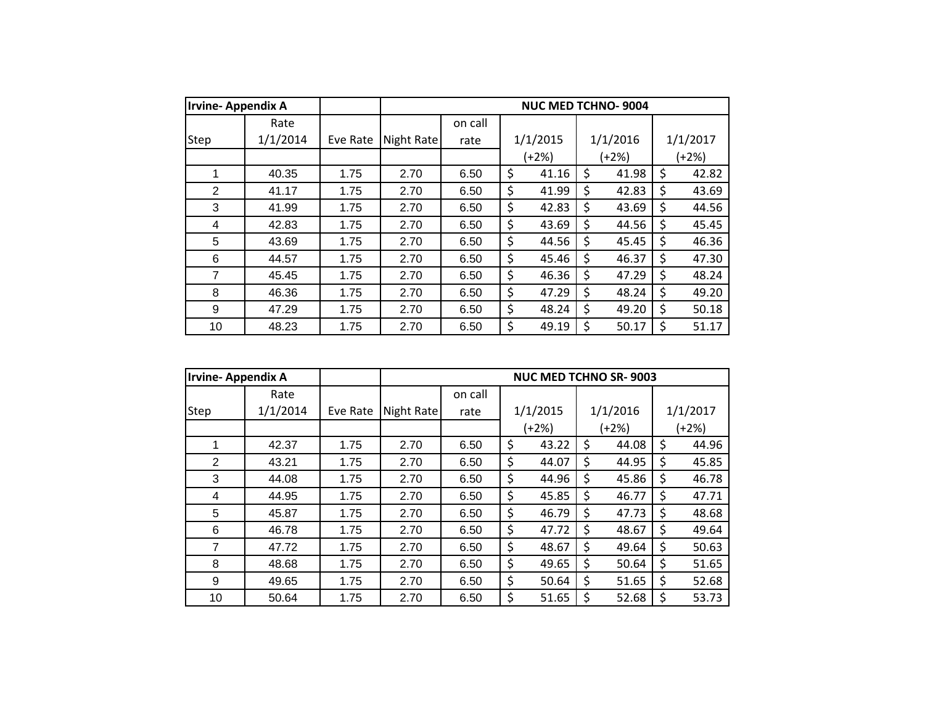| <b>Irvine-Appendix A</b> |          |          |            |         | <b>NUC MED TCHNO-9004</b> |             |             |
|--------------------------|----------|----------|------------|---------|---------------------------|-------------|-------------|
|                          | Rate     |          |            | on call |                           |             |             |
| Step                     | 1/1/2014 | Eve Rate | Night Rate | rate    | 1/1/2015                  | 1/1/2016    | 1/1/2017    |
|                          |          |          |            |         | (+2%)                     | $(+2%)$     | $(+2%)$     |
| 1                        | 40.35    | 1.75     | 2.70       | 6.50    | \$<br>41.16               | \$<br>41.98 | \$<br>42.82 |
| 2                        | 41.17    | 1.75     | 2.70       | 6.50    | \$<br>41.99               | \$<br>42.83 | \$<br>43.69 |
| 3                        | 41.99    | 1.75     | 2.70       | 6.50    | \$<br>42.83               | \$<br>43.69 | \$<br>44.56 |
| 4                        | 42.83    | 1.75     | 2.70       | 6.50    | \$<br>43.69               | \$<br>44.56 | \$<br>45.45 |
| 5                        | 43.69    | 1.75     | 2.70       | 6.50    | \$<br>44.56               | \$<br>45.45 | \$<br>46.36 |
| 6                        | 44.57    | 1.75     | 2.70       | 6.50    | \$<br>45.46               | \$<br>46.37 | \$<br>47.30 |
| 7                        | 45.45    | 1.75     | 2.70       | 6.50    | \$<br>46.36               | \$<br>47.29 | \$<br>48.24 |
| 8                        | 46.36    | 1.75     | 2.70       | 6.50    | \$<br>47.29               | \$<br>48.24 | \$<br>49.20 |
| 9                        | 47.29    | 1.75     | 2.70       | 6.50    | \$<br>48.24               | \$<br>49.20 | \$<br>50.18 |
| 10                       | 48.23    | 1.75     | 2.70       | 6.50    | \$<br>49.19               | \$<br>50.17 | \$<br>51.17 |

| <b>Irvine-Appendix A</b> |          |          |            |         |             | <b>NUC MED TCHNO SR-9003</b> |             |
|--------------------------|----------|----------|------------|---------|-------------|------------------------------|-------------|
|                          | Rate     |          |            | on call |             |                              |             |
| Step                     | 1/1/2014 | Eve Rate | Night Rate | rate    | 1/1/2015    | 1/1/2016                     | 1/1/2017    |
|                          |          |          |            |         | $(+2%)$     | (+2%)                        | $(+2%)$     |
| 1                        | 42.37    | 1.75     | 2.70       | 6.50    | \$<br>43.22 | \$<br>44.08                  | \$<br>44.96 |
| 2                        | 43.21    | 1.75     | 2.70       | 6.50    | \$<br>44.07 | \$<br>44.95                  | \$<br>45.85 |
| 3                        | 44.08    | 1.75     | 2.70       | 6.50    | \$<br>44.96 | \$<br>45.86                  | \$<br>46.78 |
| 4                        | 44.95    | 1.75     | 2.70       | 6.50    | \$<br>45.85 | \$<br>46.77                  | \$<br>47.71 |
| 5                        | 45.87    | 1.75     | 2.70       | 6.50    | \$<br>46.79 | \$<br>47.73                  | \$<br>48.68 |
| 6                        | 46.78    | 1.75     | 2.70       | 6.50    | \$<br>47.72 | \$<br>48.67                  | \$<br>49.64 |
| $\overline{7}$           | 47.72    | 1.75     | 2.70       | 6.50    | \$<br>48.67 | \$<br>49.64                  | \$<br>50.63 |
| 8                        | 48.68    | 1.75     | 2.70       | 6.50    | \$<br>49.65 | \$<br>50.64                  | \$<br>51.65 |
| 9                        | 49.65    | 1.75     | 2.70       | 6.50    | \$<br>50.64 | \$<br>51.65                  | \$<br>52.68 |
| 10                       | 50.64    | 1.75     | 2.70       | 6.50    | \$<br>51.65 | \$<br>52.68                  | \$<br>53.73 |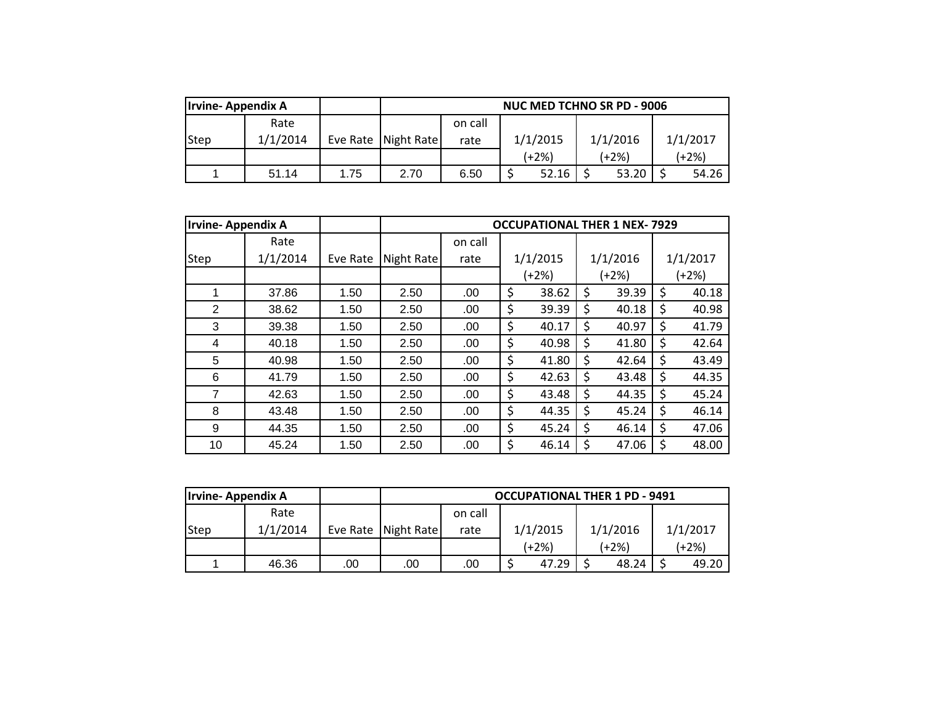| Irvine-Appendix A |          |      |                       | <b>NUC MED TCHNO SR PD - 9006</b> |          |          |          |  |  |  |  |  |
|-------------------|----------|------|-----------------------|-----------------------------------|----------|----------|----------|--|--|--|--|--|
|                   | Rate     |      |                       | on call                           |          |          |          |  |  |  |  |  |
| Step              | 1/1/2014 |      | Eve Rate   Night Rate | rate                              | 1/1/2015 | 1/1/2016 | 1/1/2017 |  |  |  |  |  |
|                   |          |      |                       |                                   | (+2%)    | $(+2%)$  | (+2%)    |  |  |  |  |  |
|                   | 51.14    | 1.75 | 2.70                  | 6.50                              | 52.16    | 53.20    | 54.26    |  |  |  |  |  |

| <b>Irvine-Appendix A</b> |          |          |            |         | <b>OCCUPATIONAL THER 1 NEX-7929</b> |             |             |
|--------------------------|----------|----------|------------|---------|-------------------------------------|-------------|-------------|
|                          | Rate     |          |            | on call |                                     |             |             |
| Step                     | 1/1/2014 | Eve Rate | Night Rate | rate    | 1/1/2015                            | 1/1/2016    | 1/1/2017    |
|                          |          |          |            |         | $(+2%)$                             | $(+2%)$     | (+2%)       |
| 1                        | 37.86    | 1.50     | 2.50       | .00.    | \$<br>38.62                         | \$<br>39.39 | \$<br>40.18 |
| 2                        | 38.62    | 1.50     | 2.50       | .00.    | \$<br>39.39                         | \$<br>40.18 | \$<br>40.98 |
| 3                        | 39.38    | 1.50     | 2.50       | .00     | \$<br>40.17                         | \$<br>40.97 | \$<br>41.79 |
| 4                        | 40.18    | 1.50     | 2.50       | .00     | \$<br>40.98                         | \$<br>41.80 | \$<br>42.64 |
| 5                        | 40.98    | 1.50     | 2.50       | .00.    | \$<br>41.80                         | \$<br>42.64 | \$<br>43.49 |
| 6                        | 41.79    | 1.50     | 2.50       | .00.    | \$<br>42.63                         | \$<br>43.48 | \$<br>44.35 |
| 7                        | 42.63    | 1.50     | 2.50       | .00     | \$<br>43.48                         | \$<br>44.35 | \$<br>45.24 |
| 8                        | 43.48    | 1.50     | 2.50       | .00.    | \$<br>44.35                         | \$<br>45.24 | \$<br>46.14 |
| 9                        | 44.35    | 1.50     | 2.50       | .00     | \$<br>45.24                         | \$<br>46.14 | \$<br>47.06 |
| 10                       | 45.24    | 1.50     | 2.50       | .00     | \$<br>46.14                         | \$<br>47.06 | \$<br>48.00 |

| <b>Irvine-Appendix A</b> |          |     |                     | <b>OCCUPATIONAL THER 1 PD - 9491</b> |          |          |          |  |  |  |
|--------------------------|----------|-----|---------------------|--------------------------------------|----------|----------|----------|--|--|--|
|                          | Rate     |     |                     | on call                              |          |          |          |  |  |  |
| <b>Step</b>              | 1/1/2014 |     | Eve Rate Night Rate | rate                                 | 1/1/2015 | 1/1/2016 | 1/1/2017 |  |  |  |
|                          |          |     |                     |                                      | (+2%)    | (+2%)    | (+2%)    |  |  |  |
|                          | 46.36    | .00 | .00                 | .00                                  | 47.29    | 48.24    | 49.20    |  |  |  |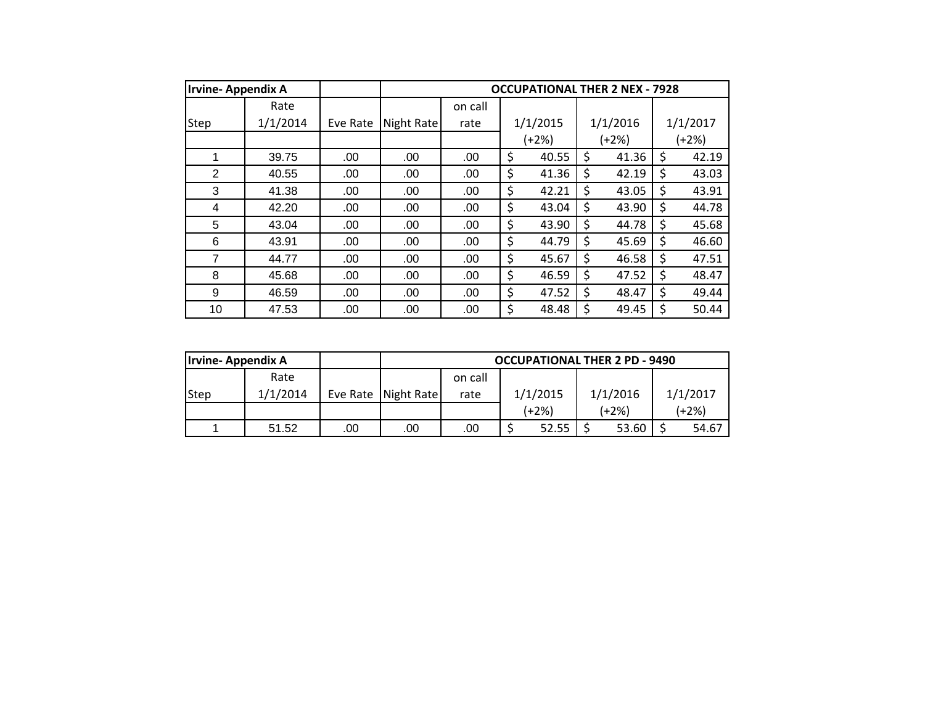| <b>Irvine-Appendix A</b> |          |          |            |         |    | <b>OCCUPATIONAL THER 2 NEX - 7928</b> |       |          |             |
|--------------------------|----------|----------|------------|---------|----|---------------------------------------|-------|----------|-------------|
|                          | Rate     |          |            | on call |    |                                       |       |          |             |
| Step                     | 1/1/2014 | Eve Rate | Night Rate | rate    |    | 1/1/2015                              |       | 1/1/2016 | 1/1/2017    |
|                          |          |          |            |         |    | $(+2%)$                               | (+2%) |          | (+2%)       |
| 1                        | 39.75    | .00.     | .00        | .00     | \$ | 40.55                                 | \$    | 41.36    | \$<br>42.19 |
| $\overline{2}$           | 40.55    | .00.     | .00        | .00     | \$ | 41.36                                 | \$    | 42.19    | \$<br>43.03 |
| 3                        | 41.38    | .00      | .00        | .00     | \$ | 42.21                                 | \$    | 43.05    | \$<br>43.91 |
| 4                        | 42.20    | .00.     | .00        | .00     | \$ | 43.04                                 | \$    | 43.90    | \$<br>44.78 |
| 5                        | 43.04    | .00      | .00        | .00     | \$ | 43.90                                 | \$    | 44.78    | \$<br>45.68 |
| 6                        | 43.91    | .00      | .00        | .00     | \$ | 44.79                                 | \$    | 45.69    | \$<br>46.60 |
| $\overline{7}$           | 44.77    | .00      | .00        | .00     | \$ | 45.67                                 | \$    | 46.58    | \$<br>47.51 |
| 8                        | 45.68    | .00      | .00        | .00     | \$ | 46.59                                 | \$    | 47.52    | \$<br>48.47 |
| 9                        | 46.59    | .00      | .00        | .00     | \$ | 47.52                                 | \$    | 48.47    | \$<br>49.44 |
| 10                       | 47.53    | .00      | .00        | .00     | \$ | 48.48                                 | \$    | 49.45    | \$<br>50.44 |

| <b>Irvine-Appendix A</b> |          |     |                       |         |                | <b>OCCUPATIONAL THER 2 PD - 9490</b> |          |
|--------------------------|----------|-----|-----------------------|---------|----------------|--------------------------------------|----------|
|                          | Rate     |     |                       | on call |                |                                      |          |
| Step                     | 1/1/2014 |     | Eve Rate   Night Rate | rate    | 1/1/2015       | 1/1/2016                             | 1/1/2017 |
|                          |          |     |                       |         | (+2%)          | (+2%)                                | (+2%)    |
|                          | 51.52    | .00 | .00                   | .00     | 52.55<br>53.60 |                                      | 54.67    |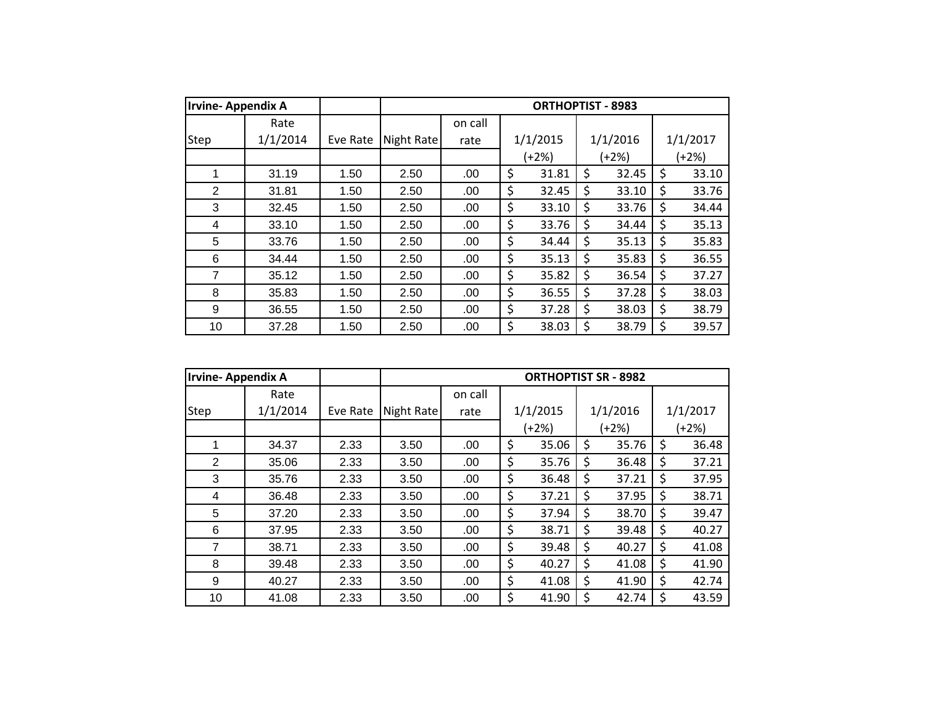| <b>Irvine-Appendix A</b> |          |          |            |         |    | <b>ORTHOPTIST - 8983</b> |             |             |
|--------------------------|----------|----------|------------|---------|----|--------------------------|-------------|-------------|
|                          | Rate     |          |            | on call |    |                          |             |             |
| <b>Step</b>              | 1/1/2014 | Eve Rate | Night Rate | rate    |    | 1/1/2015                 | 1/1/2016    | 1/1/2017    |
|                          |          |          |            |         |    | (+2%)                    | (+2%)       | (+2%)       |
| 1                        | 31.19    | 1.50     | 2.50       | .00.    | \$ | 31.81                    | \$<br>32.45 | \$<br>33.10 |
| $\overline{2}$           | 31.81    | 1.50     | 2.50       | .00     | \$ | 32.45                    | \$<br>33.10 | \$<br>33.76 |
| 3                        | 32.45    | 1.50     | 2.50       | .00     | \$ | 33.10                    | \$<br>33.76 | \$<br>34.44 |
| 4                        | 33.10    | 1.50     | 2.50       | .00     | \$ | 33.76                    | \$<br>34.44 | \$<br>35.13 |
| 5                        | 33.76    | 1.50     | 2.50       | .00     | \$ | 34.44                    | \$<br>35.13 | \$<br>35.83 |
| 6                        | 34.44    | 1.50     | 2.50       | .00     | \$ | 35.13                    | \$<br>35.83 | \$<br>36.55 |
| 7                        | 35.12    | 1.50     | 2.50       | .00     | \$ | 35.82                    | \$<br>36.54 | \$<br>37.27 |
| 8                        | 35.83    | 1.50     | 2.50       | .00     | \$ | 36.55                    | \$<br>37.28 | \$<br>38.03 |
| 9                        | 36.55    | 1.50     | 2.50       | .00     | \$ | 37.28                    | \$<br>38.03 | \$<br>38.79 |
| 10                       | 37.28    | 1.50     | 2.50       | .00     | \$ | 38.03                    | \$<br>38.79 | \$<br>39.57 |

| <b>Irvine-Appendix A</b> |          |          |            |         | <b>ORTHOPTIST SR - 8982</b> |             |             |
|--------------------------|----------|----------|------------|---------|-----------------------------|-------------|-------------|
|                          | Rate     |          |            | on call |                             |             |             |
| Step                     | 1/1/2014 | Eve Rate | Night Rate | rate    | 1/1/2015                    | 1/1/2016    | 1/1/2017    |
|                          |          |          |            |         | $(+2%)$                     | (+2%)       | $(+2%)$     |
| 1                        | 34.37    | 2.33     | 3.50       | .00     | \$<br>35.06                 | \$<br>35.76 | \$<br>36.48 |
| 2                        | 35.06    | 2.33     | 3.50       | .00     | \$<br>35.76                 | \$<br>36.48 | \$<br>37.21 |
| 3                        | 35.76    | 2.33     | 3.50       | .00     | \$<br>36.48                 | \$<br>37.21 | \$<br>37.95 |
| 4                        | 36.48    | 2.33     | 3.50       | .00     | \$<br>37.21                 | \$<br>37.95 | \$<br>38.71 |
| 5                        | 37.20    | 2.33     | 3.50       | .00     | \$<br>37.94                 | \$<br>38.70 | \$<br>39.47 |
| 6                        | 37.95    | 2.33     | 3.50       | .00     | \$<br>38.71                 | \$<br>39.48 | \$<br>40.27 |
| $\overline{7}$           | 38.71    | 2.33     | 3.50       | .00     | \$<br>39.48                 | \$<br>40.27 | \$<br>41.08 |
| 8                        | 39.48    | 2.33     | 3.50       | .00     | \$<br>40.27                 | \$<br>41.08 | \$<br>41.90 |
| 9                        | 40.27    | 2.33     | 3.50       | .00     | \$<br>41.08                 | \$<br>41.90 | \$<br>42.74 |
| 10                       | 41.08    | 2.33     | 3.50       | .00     | \$<br>41.90                 | \$<br>42.74 | \$<br>43.59 |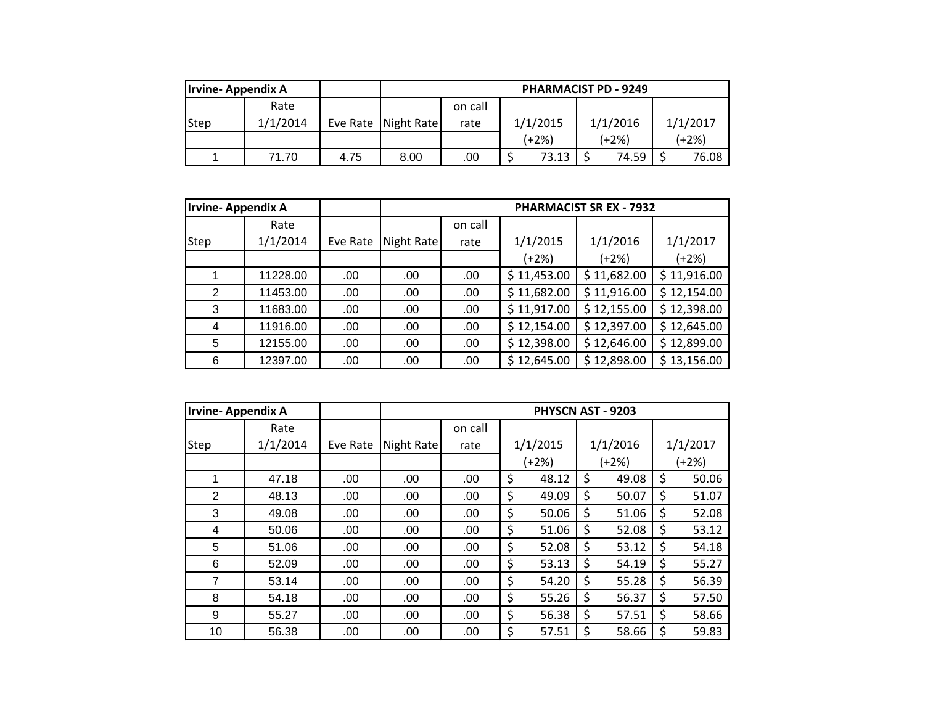| <b>Irvine-Appendix A</b> |          |      |                       | <b>PHARMACIST PD - 9249</b> |          |          |          |  |  |  |  |
|--------------------------|----------|------|-----------------------|-----------------------------|----------|----------|----------|--|--|--|--|
|                          | Rate     |      |                       | on call                     |          |          |          |  |  |  |  |
| Step                     | 1/1/2014 |      | Eve Rate   Night Rate | rate                        | 1/1/2015 | 1/1/2016 | 1/1/2017 |  |  |  |  |
|                          |          |      |                       |                             | (+2%)    | (+2%)    | (+2%)    |  |  |  |  |
|                          | 71.70    | 4.75 | 8.00                  | .00                         | 73.13    | 74.59    | 76.08    |  |  |  |  |

| Irvine- Appendix A |          |          |            |         |             | <b>PHARMACIST SR EX - 7932</b> |             |
|--------------------|----------|----------|------------|---------|-------------|--------------------------------|-------------|
|                    | Rate     |          |            | on call |             |                                |             |
| <b>Step</b>        | 1/1/2014 | Eve Rate | Night Rate | rate    | 1/1/2015    | 1/1/2016                       | 1/1/2017    |
|                    |          |          |            |         | $(+2%)$     | $(+2%)$                        | $(+2%)$     |
|                    | 11228.00 | .00      | .00        | .00.    | \$11,453.00 | \$11,682.00                    | \$11,916.00 |
| 2                  | 11453.00 | .00      | .00        | .00.    | \$11,682.00 | \$11,916.00                    | \$12,154.00 |
| 3                  | 11683.00 | .00      | .00        | .00     | \$11,917.00 | \$12,155.00                    | \$12,398.00 |
| 4                  | 11916.00 | .00      | .00        | .00     | \$12,154.00 | \$12,397.00                    | \$12,645.00 |
| 5                  | 12155.00 | .00      | .00        | .00     | \$12,398.00 | \$12,646.00                    | \$12,899.00 |
| 6                  | 12397.00 | .00      | .00        | .00     | \$12,645.00 | \$12,898.00                    | \$13,156.00 |

| <b>Irvine-Appendix A</b> |          |          |            |         | PHYSCN AST - 9203 |             |    |          |
|--------------------------|----------|----------|------------|---------|-------------------|-------------|----|----------|
|                          | Rate     |          |            | on call |                   |             |    |          |
| <b>Step</b>              | 1/1/2014 | Eve Rate | Night Rate | rate    | 1/1/2015          | 1/1/2016    |    | 1/1/2017 |
|                          |          |          |            |         | (+2%)             | (+2%)       |    | (+2%)    |
| 1                        | 47.18    | .00      | .00        | .00     | \$<br>48.12       | \$<br>49.08 | \$ | 50.06    |
| 2                        | 48.13    | .00      | .00        | .00     | \$<br>49.09       | \$<br>50.07 | \$ | 51.07    |
| 3                        | 49.08    | .00      | .00        | .00     | \$<br>50.06       | \$<br>51.06 | \$ | 52.08    |
| 4                        | 50.06    | .00      | .00        | .00     | \$<br>51.06       | \$<br>52.08 | \$ | 53.12    |
| 5                        | 51.06    | .00      | .00.       | .00     | \$<br>52.08       | \$<br>53.12 | \$ | 54.18    |
| 6                        | 52.09    | .00      | .00        | .00     | \$<br>53.13       | \$<br>54.19 | \$ | 55.27    |
| $\overline{7}$           | 53.14    | .00      | .00.       | .00     | \$<br>54.20       | \$<br>55.28 | \$ | 56.39    |
| 8                        | 54.18    | .00      | .00.       | .00     | \$<br>55.26       | \$<br>56.37 | \$ | 57.50    |
| 9                        | 55.27    | .00      | .00        | .00     | \$<br>56.38       | \$<br>57.51 | \$ | 58.66    |
| 10                       | 56.38    | .00      | .00        | .00     | \$<br>57.51       | \$<br>58.66 | \$ | 59.83    |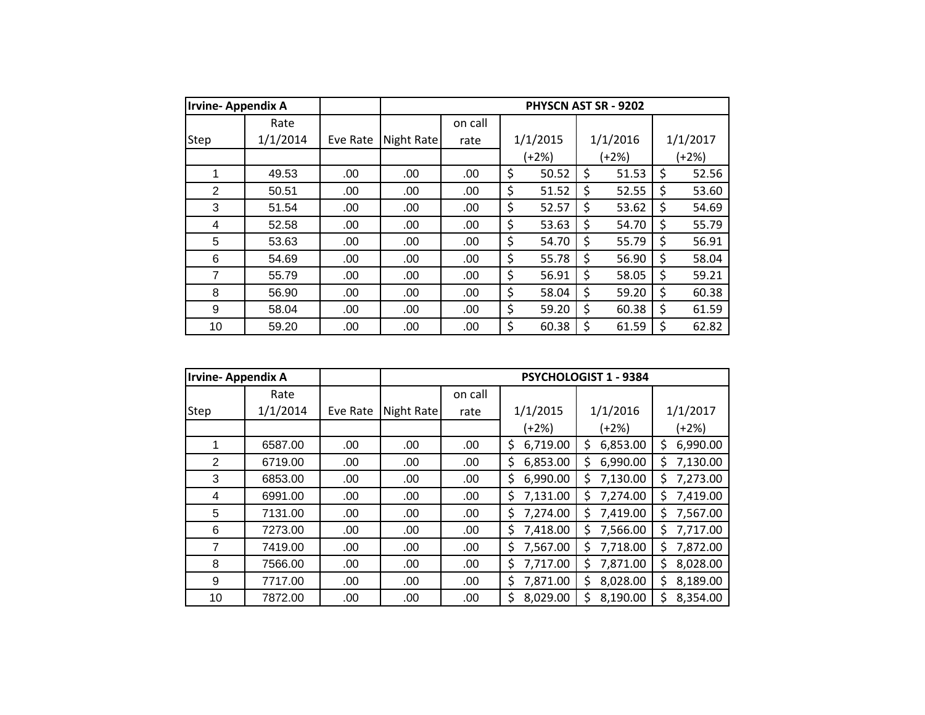| <b>Irvine-Appendix A</b> |          |          |            |         | PHYSCN AST SR - 9202 |             |             |
|--------------------------|----------|----------|------------|---------|----------------------|-------------|-------------|
|                          | Rate     |          |            | on call |                      |             |             |
| Step                     | 1/1/2014 | Eve Rate | Night Rate | rate    | 1/1/2015             | 1/1/2016    | 1/1/2017    |
|                          |          |          |            |         | (+2%)                | $(+2%)$     | (+2%)       |
| 1                        | 49.53    | .00      | .00        | .00.    | \$<br>50.52          | \$<br>51.53 | \$<br>52.56 |
| 2                        | 50.51    | .00      | .00        | .00     | \$<br>51.52          | \$<br>52.55 | \$<br>53.60 |
| 3                        | 51.54    | .00      | .00        | .00     | \$<br>52.57          | \$<br>53.62 | \$<br>54.69 |
| 4                        | 52.58    | .00      | .00        | .00     | \$<br>53.63          | \$<br>54.70 | \$<br>55.79 |
| 5                        | 53.63    | .00      | .00        | .00     | \$<br>54.70          | \$<br>55.79 | \$<br>56.91 |
| 6                        | 54.69    | .00      | .00        | .00     | \$<br>55.78          | \$<br>56.90 | \$<br>58.04 |
| 7                        | 55.79    | .00      | .00        | .00     | \$<br>56.91          | \$<br>58.05 | \$<br>59.21 |
| 8                        | 56.90    | .00      | .00        | .00.    | \$<br>58.04          | \$<br>59.20 | \$<br>60.38 |
| 9                        | 58.04    | .00      | .00        | .00     | \$<br>59.20          | \$<br>60.38 | \$<br>61.59 |
| 10                       | 59.20    | .00      | .00        | .00     | \$<br>60.38          | \$<br>61.59 | \$<br>62.82 |

| <b>Irvine-Appendix A</b> |          |          |            |         |                | PSYCHOLOGIST 1 - 9384 |                |
|--------------------------|----------|----------|------------|---------|----------------|-----------------------|----------------|
|                          | Rate     |          |            | on call |                |                       |                |
| Step                     | 1/1/2014 | Eve Rate | Night Rate | rate    | 1/1/2015       | 1/1/2016              | 1/1/2017       |
|                          |          |          |            |         | $(+2%)$        | (+2%)                 | (+2%)          |
| 1                        | 6587.00  | .00      | .00        | .00     | \$<br>6,719.00 | \$<br>6,853.00        | \$<br>6,990.00 |
| 2                        | 6719.00  | .00      | .00        | .00     | 6,853.00<br>\$ | \$<br>6,990.00        | 7,130.00<br>\$ |
| 3                        | 6853.00  | .00      | .00        | .00     | 6,990.00<br>\$ | \$<br>7,130.00        | 7,273.00<br>\$ |
| 4                        | 6991.00  | .00      | .00        | .00     | 7,131.00<br>\$ | \$<br>7,274.00        | 7,419.00<br>\$ |
| 5                        | 7131.00  | .00      | .00        | .00     | \$<br>7,274.00 | \$<br>7,419.00        | 7,567.00<br>\$ |
| 6                        | 7273.00  | .00      | .00        | .00     | \$<br>7,418.00 | \$<br>7,566.00        | 7,717.00<br>\$ |
| 7                        | 7419.00  | .00      | .00        | .00     | 7,567.00<br>\$ | \$<br>7,718.00        | 7,872.00<br>\$ |
| 8                        | 7566.00  | .00      | .00        | .00     | \$<br>7,717.00 | \$<br>7,871.00        | \$<br>8,028.00 |
| 9                        | 7717.00  | .00      | .00        | .00     | 7,871.00<br>\$ | \$<br>8,028.00        | \$<br>8,189.00 |
| 10                       | 7872.00  | .00      | .00        | .00     | \$<br>8,029.00 | \$<br>8,190.00        | \$<br>8,354.00 |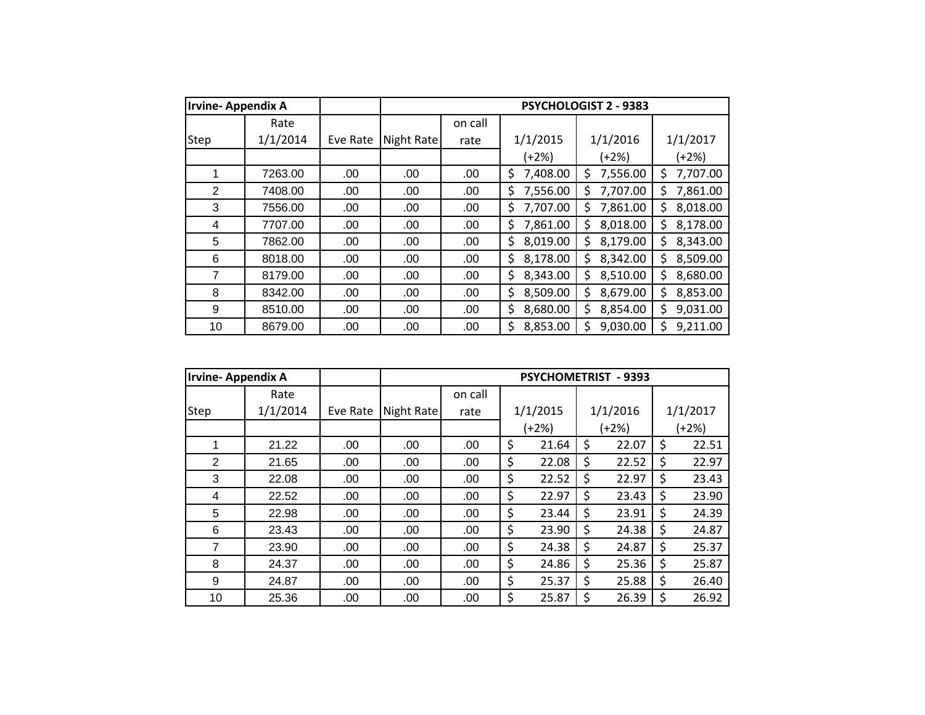| <b>Irvine-Appendix A</b> |          |          |            |         |                | <b>PSYCHOLOGIST 2 - 9383</b> |                |
|--------------------------|----------|----------|------------|---------|----------------|------------------------------|----------------|
|                          | Rate     |          |            | on call |                |                              |                |
| Step                     | 1/1/2014 | Eve Rate | Night Rate | rate    | 1/1/2015       | 1/1/2016                     | 1/1/2017       |
|                          |          |          |            |         | (+2%)          | $(+2%)$                      | (+2%)          |
| 1                        | 7263.00  | .00      | .00        | .00     | 7,408.00<br>\$ | 7,556.00<br>\$               | 7,707.00<br>S  |
| 2                        | 7408.00  | .00      | .00        | .00     | \$<br>7,556.00 | \$<br>7,707.00               | \$<br>7,861.00 |
| 3                        | 7556.00  | .00      | .00        | .00     | 7,707.00<br>\$ | 7,861.00<br>\$               | 8,018.00<br>Ś. |
| 4                        | 7707.00  | .00      | .00        | .00     | 7,861.00<br>\$ | 8,018.00<br>Ś                | 8,178.00<br>Ś  |
| 5                        | 7862.00  | .00      | .00        | .00     | \$<br>8,019.00 | 8,179.00<br>\$               | 8,343.00<br>Ś. |
| 6                        | 8018.00  | .00      | .00        | .00     | \$<br>8,178.00 | \$<br>8,342.00               | 8,509.00<br>\$ |
| 7                        | 8179.00  | .00      | .00        | .00     | 8,343.00<br>\$ | 8,510.00<br>\$               | 8,680.00<br>\$ |
| 8                        | 8342.00  | .00      | .00        | .00     | \$<br>8,509.00 | \$<br>8,679.00               | 8,853.00<br>\$ |
| 9                        | 8510.00  | .00      | .00        | .00     | \$<br>8,680.00 | 8,854.00<br>\$               | 9,031.00<br>Ś  |
| 10                       | 8679.00  | .00      | .00        | .00     | 8,853.00<br>\$ | Ś<br>9,030.00                | Ś<br>9,211.00  |

| <b>Irvine-Appendix A</b> |          |          |            |         | <b>PSYCHOMETRIST</b> |    | $-9393$  |             |
|--------------------------|----------|----------|------------|---------|----------------------|----|----------|-------------|
|                          | Rate     |          |            | on call |                      |    |          |             |
| Step                     | 1/1/2014 | Eve Rate | Night Rate | rate    | 1/1/2015             |    | 1/1/2016 | 1/1/2017    |
|                          |          |          |            |         | $(+2%)$              |    | $(+2%)$  | (+2%)       |
|                          | 21.22    | .00      | .00        | .00     | \$<br>21.64          | \$ | 22.07    | \$<br>22.51 |
| 2                        | 21.65    | .00      | .00        | .00     | \$<br>22.08          | \$ | 22.52    | \$<br>22.97 |
| 3                        | 22.08    | .00      | .00        | .00     | \$<br>22.52          | \$ | 22.97    | \$<br>23.43 |
| 4                        | 22.52    | .00      | .00        | .00     | \$<br>22.97          | Ś  | 23.43    | \$<br>23.90 |
| 5                        | 22.98    | .00      | .00        | .00     | \$<br>23.44          | \$ | 23.91    | \$<br>24.39 |
| 6                        | 23.43    | .00      | .00        | .00     | \$<br>23.90          | \$ | 24.38    | \$<br>24.87 |
| 7                        | 23.90    | .00      | .00        | .00     | \$<br>24.38          | \$ | 24.87    | \$<br>25.37 |
| 8                        | 24.37    | .00.     | .00        | .00     | \$<br>24.86          | \$ | 25.36    | \$<br>25.87 |
| 9                        | 24.87    | .00.     | .00        | .00     | \$<br>25.37          | \$ | 25.88    | \$<br>26.40 |
| 10                       | 25.36    | .00      | .00        | .00     | \$<br>25.87          | \$ | 26.39    | \$<br>26.92 |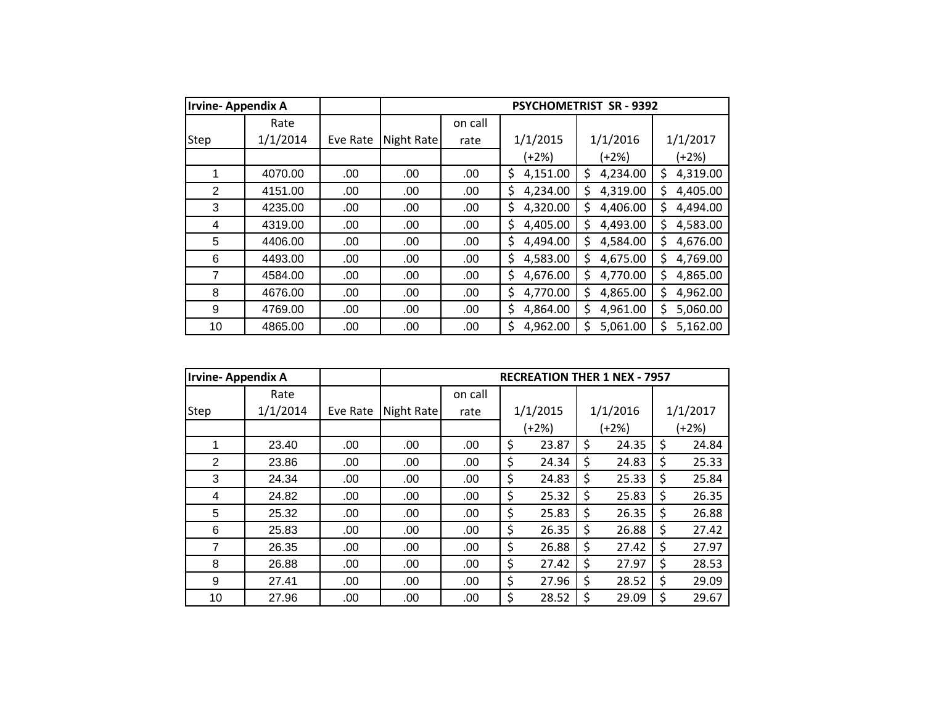| <b>Irvine-Appendix A</b> |          |          |            |         |                | <b>PSYCHOMETRIST SR-9392</b> |                |
|--------------------------|----------|----------|------------|---------|----------------|------------------------------|----------------|
|                          | Rate     |          |            | on call |                |                              |                |
| Step                     | 1/1/2014 | Eve Rate | Night Rate | rate    | 1/1/2015       | 1/1/2016                     | 1/1/2017       |
|                          |          |          |            |         | (+2%)          | $(+2%)$                      | (+2%)          |
| 1                        | 4070.00  | .00      | .00        | .00.    | 4,151.00<br>\$ | 4,234.00<br>\$               | 4,319.00<br>\$ |
| 2                        | 4151.00  | .00      | .00        | .00     | \$<br>4,234.00 | \$<br>4,319.00               | \$<br>4,405.00 |
| 3                        | 4235.00  | .00      | .00        | .00     | 4,320.00<br>\$ | \$<br>4,406.00               | 4,494.00<br>\$ |
| 4                        | 4319.00  | .00      | .00        | .00     | \$<br>4,405.00 | 4,493.00<br>\$               | \$<br>4,583.00 |
| 5                        | 4406.00  | .00      | .00        | .00.    | \$<br>4,494.00 | \$<br>4,584.00               | 4,676.00<br>Ś  |
| 6                        | 4493.00  | .00      | .00        | .00     | \$<br>4,583.00 | \$<br>4,675.00               | 4,769.00<br>Ś  |
| 7                        | 4584.00  | .00      | .00        | .00     | 4,676.00<br>\$ | \$<br>4,770.00               | 4,865.00<br>\$ |
| 8                        | 4676.00  | .00      | .00        | .00     | \$<br>4,770.00 | \$<br>4,865.00               | 4,962.00<br>\$ |
| 9                        | 4769.00  | .00      | .00        | .00     | \$<br>4,864.00 | \$<br>4,961.00               | 5,060.00<br>Ś  |
| 10                       | 4865.00  | .00      | .00        | .00     | Ś<br>4,962.00  | Ś<br>5,061.00                | Ś<br>5,162.00  |

| <b>Irvine-Appendix A</b> |          |          |            |         |             | <b>RECREATION THER 1 NEX - 7957</b> |             |
|--------------------------|----------|----------|------------|---------|-------------|-------------------------------------|-------------|
|                          | Rate     |          |            | on call |             |                                     |             |
| Step                     | 1/1/2014 | Eve Rate | Night Rate | rate    | 1/1/2015    | 1/1/2016                            | 1/1/2017    |
|                          |          |          |            |         | $(+2%)$     | (+2%)                               | (+2%)       |
| 1                        | 23.40    | .00      | .00        | .00     | \$<br>23.87 | \$<br>24.35                         | \$<br>24.84 |
| 2                        | 23.86    | .00      | .00        | .00     | \$<br>24.34 | \$<br>24.83                         | \$<br>25.33 |
| 3                        | 24.34    | .00      | .00        | .00     | \$<br>24.83 | \$<br>25.33                         | \$<br>25.84 |
| 4                        | 24.82    | .00      | .00        | .00     | \$<br>25.32 | \$<br>25.83                         | \$<br>26.35 |
| 5                        | 25.32    | .00      | .00        | .00     | \$<br>25.83 | \$<br>26.35                         | \$<br>26.88 |
| 6                        | 25.83    | .00      | .00        | .00     | \$<br>26.35 | \$<br>26.88                         | \$<br>27.42 |
| 7                        | 26.35    | .00      | .00        | .00     | \$<br>26.88 | \$<br>27.42                         | \$<br>27.97 |
| 8                        | 26.88    | .00      | .00        | .00     | \$<br>27.42 | \$<br>27.97                         | \$<br>28.53 |
| 9                        | 27.41    | .00      | .00        | .00     | \$<br>27.96 | \$<br>28.52                         | \$<br>29.09 |
| 10                       | 27.96    | .00      | .00        | .00     | \$<br>28.52 | \$<br>29.09                         | \$<br>29.67 |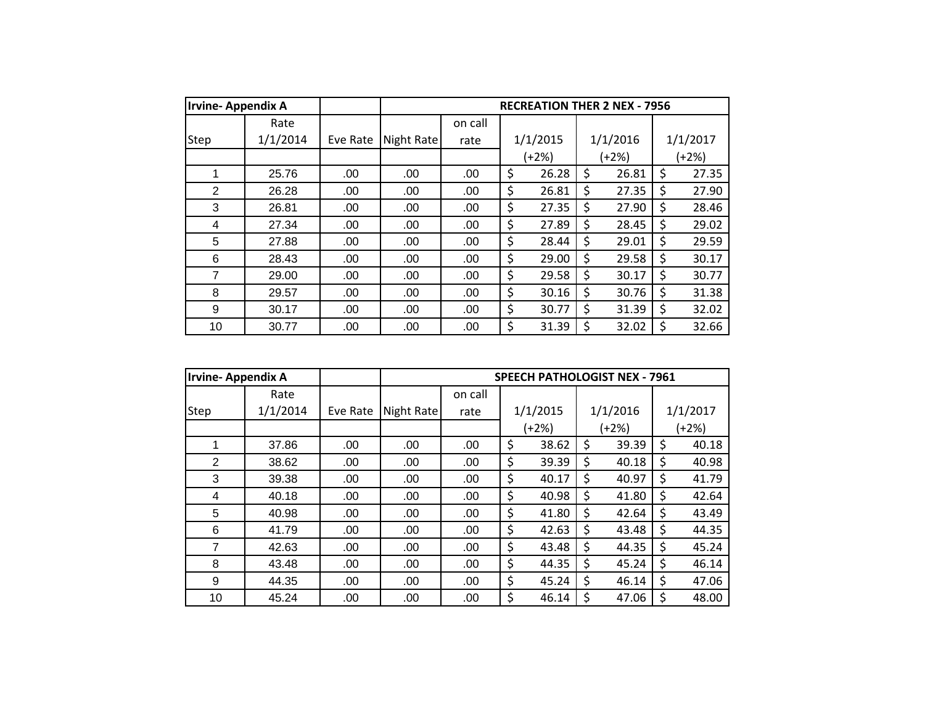| <b>Irvine-Appendix A</b> |          |          |            |         | <b>RECREATION THER 2 NEX - 7956</b> |             |             |
|--------------------------|----------|----------|------------|---------|-------------------------------------|-------------|-------------|
|                          | Rate     |          |            | on call |                                     |             |             |
| Step                     | 1/1/2014 | Eve Rate | Night Rate | rate    | 1/1/2015                            | 1/1/2016    | 1/1/2017    |
|                          |          |          |            |         | (+2%)                               | $(+2%)$     | $(+2%)$     |
| 1                        | 25.76    | .00      | .00        | .00.    | \$<br>26.28                         | \$<br>26.81 | \$<br>27.35 |
| $\overline{2}$           | 26.28    | .00      | .00        | .00     | \$<br>26.81                         | \$<br>27.35 | \$<br>27.90 |
| 3                        | 26.81    | .00      | .00        | .00     | \$<br>27.35                         | \$<br>27.90 | \$<br>28.46 |
| 4                        | 27.34    | .00      | .00        | .00     | \$<br>27.89                         | \$<br>28.45 | \$<br>29.02 |
| 5                        | 27.88    | .00      | .00        | .00     | \$<br>28.44                         | \$<br>29.01 | \$<br>29.59 |
| 6                        | 28.43    | .00      | .00        | .00     | \$<br>29.00                         | \$<br>29.58 | \$<br>30.17 |
| 7                        | 29.00    | .00      | .00        | .00     | \$<br>29.58                         | \$<br>30.17 | \$<br>30.77 |
| 8                        | 29.57    | .00      | .00        | .00     | \$<br>30.16                         | \$<br>30.76 | \$<br>31.38 |
| 9                        | 30.17    | .00      | .00        | .00     | \$<br>30.77                         | \$<br>31.39 | \$<br>32.02 |
| 10                       | 30.77    | .00      | .00        | .00     | \$<br>31.39                         | \$<br>32.02 | \$<br>32.66 |

| <b>Irvine-Appendix A</b> |          |          |            |         |             | <b>SPEECH PATHOLOGIST NEX - 7961</b> |             |
|--------------------------|----------|----------|------------|---------|-------------|--------------------------------------|-------------|
|                          | Rate     |          |            | on call |             |                                      |             |
| Step                     | 1/1/2014 | Eve Rate | Night Rate | rate    | 1/1/2015    | 1/1/2016                             | 1/1/2017    |
|                          |          |          |            |         | $(+2%)$     | (+2%)                                | (+2%)       |
| 1                        | 37.86    | .00      | .00        | .00     | \$<br>38.62 | \$<br>39.39                          | \$<br>40.18 |
| 2                        | 38.62    | .00      | .00        | .00     | \$<br>39.39 | \$<br>40.18                          | \$<br>40.98 |
| 3                        | 39.38    | .00      | .00        | .00     | \$<br>40.17 | \$<br>40.97                          | \$<br>41.79 |
| 4                        | 40.18    | .00      | .00        | .00     | \$<br>40.98 | \$<br>41.80                          | \$<br>42.64 |
| 5                        | 40.98    | .00      | .00        | .00     | \$<br>41.80 | \$<br>42.64                          | \$<br>43.49 |
| 6                        | 41.79    | .00      | .00        | .00     | \$<br>42.63 | \$<br>43.48                          | \$<br>44.35 |
| 7                        | 42.63    | .00      | .00        | .00     | \$<br>43.48 | \$<br>44.35                          | \$<br>45.24 |
| 8                        | 43.48    | .00      | .00        | .00     | \$<br>44.35 | \$<br>45.24                          | \$<br>46.14 |
| 9                        | 44.35    | .00      | .00        | .00     | \$<br>45.24 | \$<br>46.14                          | \$<br>47.06 |
| 10                       | 45.24    | .00      | .00        | .00     | \$<br>46.14 | \$<br>47.06                          | \$<br>48.00 |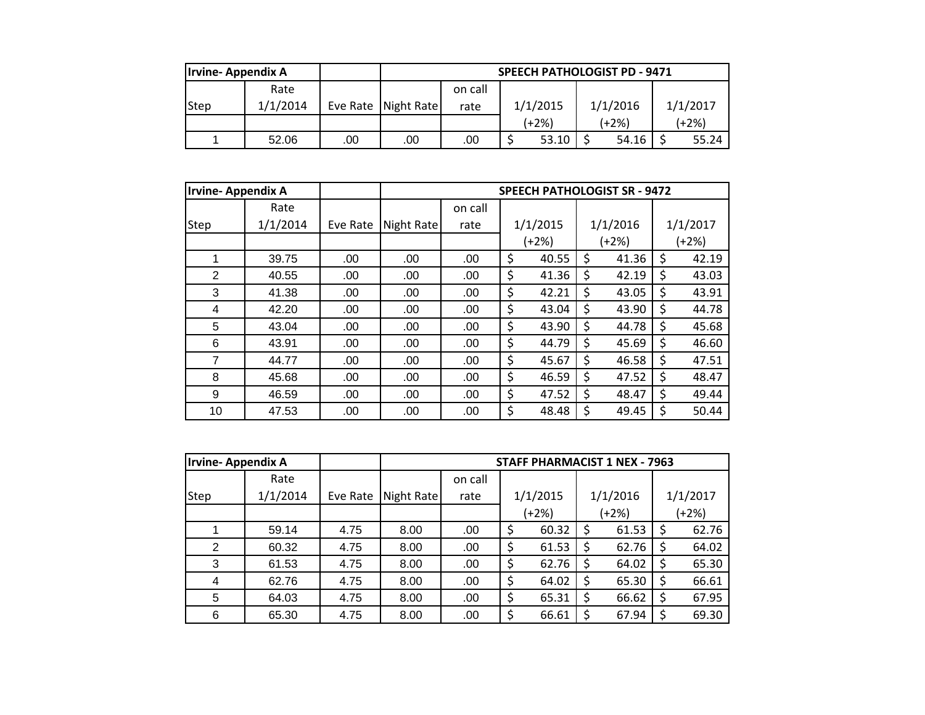| <b>Irvine-Appendix A</b> |          |     |                     | <b>SPEECH PATHOLOGIST PD - 9471</b> |       |          |  |          |  |          |  |  |
|--------------------------|----------|-----|---------------------|-------------------------------------|-------|----------|--|----------|--|----------|--|--|
|                          | Rate     |     |                     | on call                             |       |          |  |          |  |          |  |  |
| <b>Step</b>              | 1/1/2014 |     | Eve Rate Night Rate | rate                                |       | 1/1/2015 |  | 1/1/2016 |  | 1/1/2017 |  |  |
|                          |          |     |                     |                                     | (+2%) |          |  | $(+2%)$  |  | (+2%)    |  |  |
|                          | 52.06    | .00 | .00                 | .00                                 | 53.10 |          |  | 54.16    |  | 55.24    |  |  |

| <b>Irvine-Appendix A</b> |          |          | <b>SPEECH PATHOLOGIST SR - 9472</b> |         |    |          |       |          |    |          |
|--------------------------|----------|----------|-------------------------------------|---------|----|----------|-------|----------|----|----------|
|                          | Rate     |          |                                     | on call |    |          |       |          |    |          |
| Step                     | 1/1/2014 | Eve Rate | Night Rate                          | rate    |    | 1/1/2015 |       | 1/1/2016 |    | 1/1/2017 |
|                          |          |          |                                     |         |    | $(+2%)$  | (+2%) |          |    | (+2%)    |
|                          | 39.75    | .00.     | .00.                                | .00.    | \$ | 40.55    | \$    | 41.36    | \$ | 42.19    |
| 2                        | 40.55    | .00.     | .00.                                | .00.    | \$ | 41.36    | \$    | 42.19    | \$ | 43.03    |
| 3                        | 41.38    | .00      | .00                                 | .00     | \$ | 42.21    | Ś     | 43.05    | \$ | 43.91    |
| 4                        | 42.20    | .00      | .00                                 | .00     | \$ | 43.04    | \$    | 43.90    | \$ | 44.78    |
| 5                        | 43.04    | .00      | .00.                                | .00.    | \$ | 43.90    | \$    | 44.78    | \$ | 45.68    |
| 6                        | 43.91    | .00      | .00.                                | .00.    | \$ | 44.79    | \$    | 45.69    | \$ | 46.60    |
| $\overline{7}$           | 44.77    | .00      | .00                                 | .00     | \$ | 45.67    | \$    | 46.58    | \$ | 47.51    |
| 8                        | 45.68    | .00      | .00.                                | .00     | \$ | 46.59    | \$    | 47.52    | \$ | 48.47    |
| 9                        | 46.59    | .00      | .00                                 | .00     | \$ | 47.52    | \$    | 48.47    | \$ | 49.44    |
| 10                       | 47.53    | .00      | .00                                 | .00     | \$ | 48.48    | \$    | 49.45    | \$ | 50.44    |

| Irvine-Appendix A |          |          |            |         |          | <b>STAFF PHARMACIST 1 NEX - 7963</b> |    |          |    |          |  |         |  |         |
|-------------------|----------|----------|------------|---------|----------|--------------------------------------|----|----------|----|----------|--|---------|--|---------|
|                   | Rate     |          |            | on call |          |                                      |    |          |    |          |  |         |  |         |
| <b>Step</b>       | 1/1/2014 | Eve Rate | Night Rate | rate    | 1/1/2015 |                                      |    | 1/1/2016 |    | 1/1/2017 |  |         |  |         |
|                   |          |          |            |         | $(+2%)$  |                                      |    |          |    |          |  | $(+2%)$ |  | $(+2%)$ |
|                   | 59.14    | 4.75     | 8.00       | .00     | \$       | 60.32                                | Ś  | 61.53    | \$ | 62.76    |  |         |  |         |
| $\overline{2}$    | 60.32    | 4.75     | 8.00       | .00     | \$       | 61.53                                | \$ | 62.76    | \$ | 64.02    |  |         |  |         |
| 3                 | 61.53    | 4.75     | 8.00       | .00     | \$       | 62.76                                | Ś  | 64.02    | Ś  | 65.30    |  |         |  |         |
| 4                 | 62.76    | 4.75     | 8.00       | .00     | \$       | 64.02                                | \$ | 65.30    | \$ | 66.61    |  |         |  |         |
| 5                 | 64.03    | 4.75     | 8.00       | .00     | \$       | 65.31                                | \$ | 66.62    | \$ | 67.95    |  |         |  |         |
| 6                 | 65.30    | 4.75     | 8.00       | .00     |          | 66.61                                | Ś  | 67.94    | \$ | 69.30    |  |         |  |         |